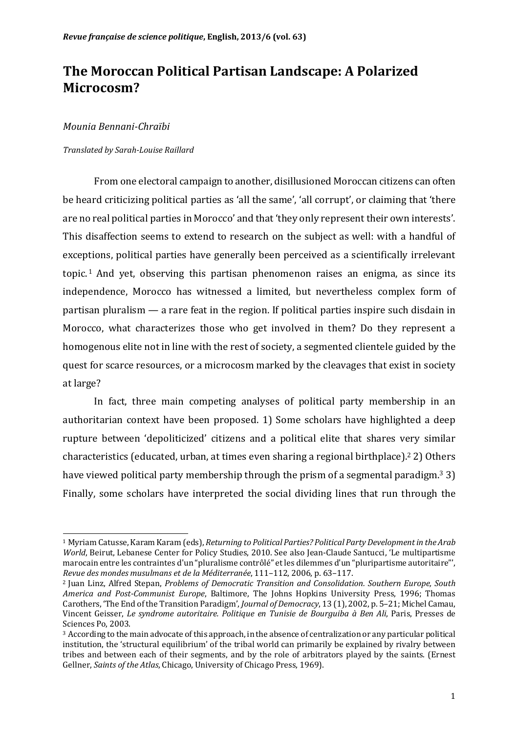## **The Moroccan Political Partisan Landscape: A Polarized Microcosm?**

#### *Mounia Bennani-Chraïbi*

#### *Translated by Sarah-Louise Raillard*

From one electoral campaign to another, disillusioned Moroccan citizens can often be heard criticizing political parties as 'all the same', 'all corrupt', or claiming that 'there are no real political parties in Morocco' and that 'they only represent their own interests'. This disaffection seems to extend to research on the subject as well: with a handful of exceptions, political parties have generally been perceived as a scientifically irrelevant topic.<sup>1</sup> And yet, observing this partisan phenomenon raises an enigma, as since its independence, Morocco has witnessed a limited, but nevertheless complex form of partisan pluralism  $-$  a rare feat in the region. If political parties inspire such disdain in Morocco, what characterizes those who get involved in them? Do they represent a homogenous elite not in line with the rest of society, a segmented clientele guided by the quest for scarce resources, or a microcosm marked by the cleavages that exist in society at large?

In fact, three main competing analyses of political party membership in an authoritarian context have been proposed. 1) Some scholars have highlighted a deep rupture between 'depoliticized' citizens and a political elite that shares very similar characteristics (educated, urban, at times even sharing a regional birthplace).<sup>2</sup> 2) Others have viewed political party membership through the prism of a segmental paradigm.<sup>3</sup> 3) Finally, some scholars have interpreted the social dividing lines that run through the

<sup>&</sup>lt;u> 1989 - Jan Samuel Barbara, margaret e</u> <sup>1</sup> Myriam Catusse, Karam Karam (eds), *Returning to Political Parties? Political Party Development in the Arab World*, Beirut, Lebanese Center for Policy Studies, 2010. See also Jean-Claude Santucci, 'Le multipartisme marocain entre les contraintes d'un "pluralisme contrôlé" et les dilemmes d'un "pluripartisme autoritaire"', *Revue des mondes musulmans et de la Méditerranée*, 111–112, 2006, p. 63–117.

<sup>&</sup>lt;sup>2</sup> Juan Linz, Alfred Stepan, *Problems of Democratic Transition and Consolidation. Southern Europe, South America and Post-Communist Europe*, Baltimore, The Johns Hopkins University Press, 1996; Thomas Carothers, 'The End of the Transition Paradigm', *Journal of Democracy*, 13 (1), 2002, p. 5-21; Michel Camau, Vincent Geisser, *Le syndrome autoritaire. Politique en Tunisie de Bourguiba à Ben Ali*, Paris, Presses de Sciences Po, 2003.

<sup>&</sup>lt;sup>3</sup> According to the main advocate of this approach, in the absence of centralization or any particular political institution, the 'structural equilibrium' of the tribal world can primarily be explained by rivalry between tribes and between each of their segments, and by the role of arbitrators played by the saints. (Ernest Gellner, *Saints of the Atlas*, Chicago, University of Chicago Press, 1969).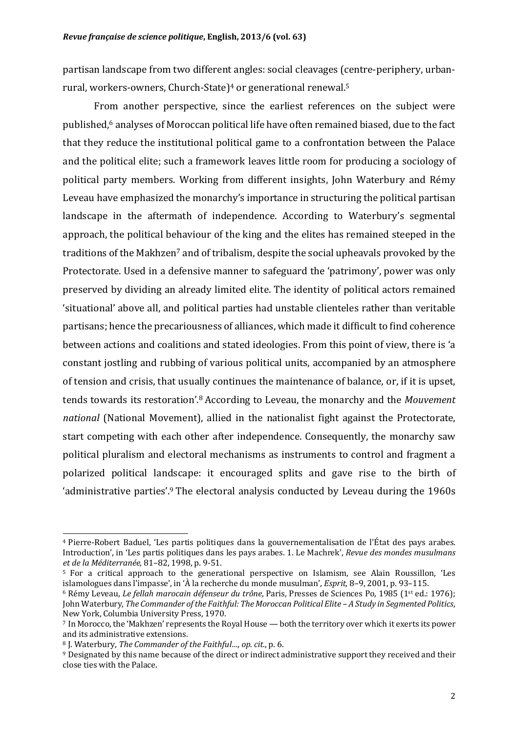partisan landscape from two different angles: social cleavages (centre-periphery, urbanrural, workers-owners, Church-State)<sup>4</sup> or generational renewal.<sup>5</sup>

From another perspective, since the earliest references on the subject were published,<sup>6</sup> analyses of Moroccan political life have often remained biased, due to the fact that they reduce the institutional political game to a confrontation between the Palace and the political elite; such a framework leaves little room for producing a sociology of political party members. Working from different insights, John Waterbury and Rémy Leveau have emphasized the monarchy's importance in structuring the political partisan landscape in the aftermath of independence. According to Waterbury's segmental approach, the political behaviour of the king and the elites has remained steeped in the traditions of the Makhzen<sup>7</sup> and of tribalism, despite the social upheavals provoked by the Protectorate. Used in a defensive manner to safeguard the 'patrimony', power was only preserved by dividing an already limited elite. The identity of political actors remained 'situational' above all, and political parties had unstable clienteles rather than veritable partisans; hence the precariousness of alliances, which made it difficult to find coherence between actions and coalitions and stated ideologies. From this point of view, there is 'a constant jostling and rubbing of various political units, accompanied by an atmosphere of tension and crisis, that usually continues the maintenance of balance, or, if it is upset, tends towards its restoration'.<sup>8</sup> According to Leveau, the monarchy and the Mouvement *national* (National Movement), allied in the nationalist fight against the Protectorate, start competing with each other after independence. Consequently, the monarchy saw political pluralism and electoral mechanisms as instruments to control and fragment a polarized political landscape: it encouraged splits and gave rise to the birth of 'administrative parties'.<sup>9</sup> The electoral analysis conducted by Leveau during the  $1960s$ 

<u> 1989 - Jan Samuel Barbara, margaret e</u>

<sup>&</sup>lt;sup>4</sup> Pierre-Robert Baduel, 'Les partis politiques dans la gouvernementalisation de l'État des pays arabes. Introduction', in 'Les partis politiques dans les pays arabes. 1. Le Machrek', *Revue des mondes musulmans et de la Méditerranée*, 81–82, 1998, p. 9-51.

<sup>&</sup>lt;sup>5</sup> For a critical approach to the generational perspective on Islamism, see Alain Roussillon, 'Les islamologues dans l'impasse', in 'À la recherche du monde musulman', *Esprit*, 8–9, 2001, p. 93–115.

<sup>&</sup>lt;sup>6</sup> Rémy Leveau, *Le fellah marocain défenseur du trône*, Paris, Presses de Sciences Po, 1985 (1<sup>st</sup> ed.: 1976); John Waterbury, The Commander of the Faithful: The Moroccan Political Elite - A Study in Segmented Politics, New York, Columbia University Press, 1970.

 $7$  In Morocco, the 'Makhzen' represents the Royal House — both the territory over which it exerts its power and its administrative extensions.

<sup>8</sup> J. Waterbury, *The Commander of the Faithful..., op. cit., p. 6.* 

<sup>9</sup> Designated by this name because of the direct or indirect administrative support they received and their close ties with the Palace.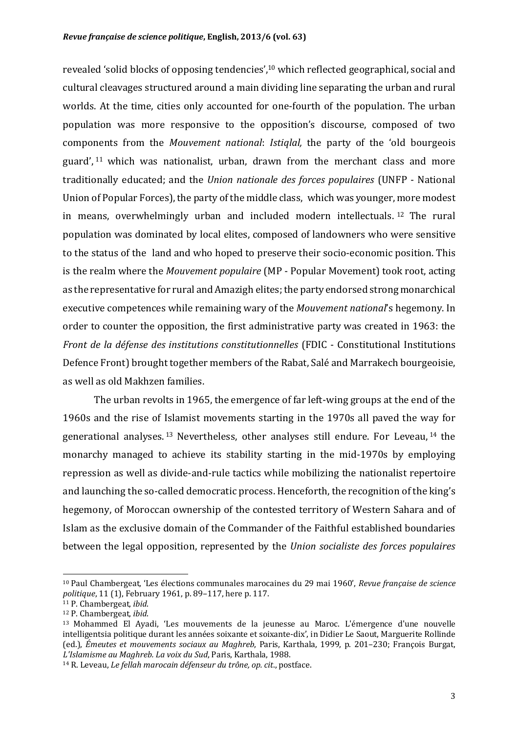revealed 'solid blocks of opposing tendencies', $10$  which reflected geographical, social and cultural cleavages structured around a main dividing line separating the urban and rural worlds. At the time, cities only accounted for one-fourth of the population. The urban population was more responsive to the opposition's discourse, composed of two components from the *Mouvement national: Istiglal*, the party of the 'old bourgeois guard',  $11$  which was nationalist, urban, drawn from the merchant class and more traditionally educated; and the *Union nationale des forces populaires* (UNFP - National Union of Popular Forces), the party of the middle class, which was younger, more modest in means, overwhelmingly urban and included modern intellectuals.  $12$  The rural population was dominated by local elites, composed of landowners who were sensitive to the status of the land and who hoped to preserve their socio-economic position. This is the realm where the *Mouvement populaire* (MP - Popular Movement) took root, acting as the representative for rural and Amazigh elites; the party endorsed strong monarchical executive competences while remaining wary of the *Mouvement national*'s hegemony. In order to counter the opposition, the first administrative party was created in 1963: the *Front de la défense des institutions constitutionnelles* (FDIC - Constitutional Institutions Defence Front) brought together members of the Rabat, Salé and Marrakech bourgeoisie, as well as old Makhzen families.

The urban revolts in 1965, the emergence of far left-wing groups at the end of the 1960s and the rise of Islamist movements starting in the 1970s all paved the way for generational analyses.<sup>13</sup> Nevertheless, other analyses still endure. For Leveau,  $14$  the monarchy managed to achieve its stability starting in the mid-1970s by employing repression as well as divide-and-rule tactics while mobilizing the nationalist repertoire and launching the so-called democratic process. Henceforth, the recognition of the king's hegemony, of Moroccan ownership of the contested territory of Western Sahara and of Islam as the exclusive domain of the Commander of the Faithful established boundaries between the legal opposition, represented by the *Union socialiste des forces populaires* 

<sup>&</sup>lt;sup>10</sup> Paul Chambergeat, 'Les élections communales marocaines du 29 mai 1960', *Revue française de science politique*, 11 (1), February 1961, p. 89-117, here p. 117.

<sup>&</sup>lt;sup>11</sup> P. Chambergeat, *ibid*.

<sup>&</sup>lt;sup>12</sup> P. Chambergeat, *ibid.* 

<sup>&</sup>lt;sup>13</sup> Mohammed El Ayadi, 'Les mouvements de la jeunesse au Maroc. L'émergence d'une nouvelle intelligentsia politique durant les années soixante et soixante-dix', in Didier Le Saout, Marguerite Rollinde (ed.), *Émeutes et mouvements sociaux au Maghreb*, Paris, Karthala, 1999, p. 201–230; François Burgat, *L'Islamisme au Maghreb. La voix du Sud*, Paris, Karthala, 1988.

<sup>&</sup>lt;sup>14</sup> R. Leveau, *Le fellah marocain défenseur du trône, op. cit., postface.*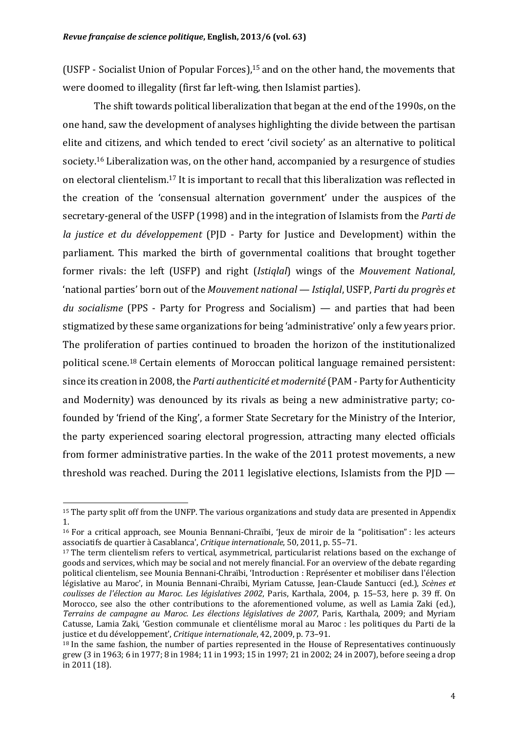(USFP - Socialist Union of Popular Forces),<sup>15</sup> and on the other hand, the movements that were doomed to illegality (first far left-wing, then Islamist parties).

The shift towards political liberalization that began at the end of the 1990s, on the one hand, saw the development of analyses highlighting the divide between the partisan elite and citizens, and which tended to erect 'civil society' as an alternative to political society.<sup>16</sup> Liberalization was, on the other hand, accompanied by a resurgence of studies on electoral clientelism.<sup>17</sup> It is important to recall that this liberalization was reflected in the creation of the 'consensual alternation government' under the auspices of the secretary-general of the USFP (1998) and in the integration of Islamists from the *Parti de la justice et du développement* (PJD - Party for Justice and Development) within the parliament. This marked the birth of governmental coalitions that brought together former rivals: the left *(USFP)* and right *(Istiglal)* wings of the *Mouvement National*, 'national parties' born out of the *Mouvement national* — *Istiglal*, USFP, *Parti du progrès et* du socialisme (PPS - Party for Progress and Socialism) — and parties that had been stigmatized by these same organizations for being 'administrative' only a few years prior. The proliferation of parties continued to broaden the horizon of the institutionalized political scene.<sup>18</sup> Certain elements of Moroccan political language remained persistent: since its creation in 2008, the *Parti authenticité et modernité* (PAM - Party for Authenticity and Modernity) was denounced by its rivals as being a new administrative party; cofounded by 'friend of the King', a former State Secretary for the Ministry of the Interior, the party experienced soaring electoral progression, attracting many elected officials from former administrative parties. In the wake of the 2011 protest movements, a new threshold was reached. During the 2011 legislative elections, Islamists from the  $PID -$ 

 $15$  The party split off from the UNFP. The various organizations and study data are presented in Appendix 1. 

 $16$  For a critical approach, see Mounia Bennani-Chraïbi, 'Jeux de miroir de la "politisation" : les acteurs associatifs de quartier à Casablanca', *Critique internationale*, 50, 2011, p. 55–71.

<sup>&</sup>lt;sup>17</sup> The term clientelism refers to vertical, asymmetrical, particularist relations based on the exchange of goods and services, which may be social and not merely financial. For an overview of the debate regarding political clientelism, see Mounia Bennani-Chraïbi, 'Introduction : Représenter et mobiliser dans l'élection législative au Maroc', in Mounia Bennani-Chraïbi, Myriam Catusse, Jean-Claude Santucci (ed.), *Scènes et coulisses de l'élection au Maroc. Les législatives 2002, Paris, Karthala, 2004, p. 15–53, here p. 39 ff. On* Morocco, see also the other contributions to the aforementioned volume, as well as Lamia Zaki (ed.), *Terrains de campagne au Maroc. Les élections législatives de 2007*, Paris, Karthala, 2009; and Myriam Catusse, Lamia Zaki, 'Gestion communale et clientélisme moral au Maroc : les politiques du Parti de la justice et du développement', *Critique internationale*, 42, 2009, p. 73–91.

 $18$  In the same fashion, the number of parties represented in the House of Representatives continuously grew (3 in 1963; 6 in 1977; 8 in 1984; 11 in 1993; 15 in 1997; 21 in 2002; 24 in 2007), before seeing a drop in 2011 (18).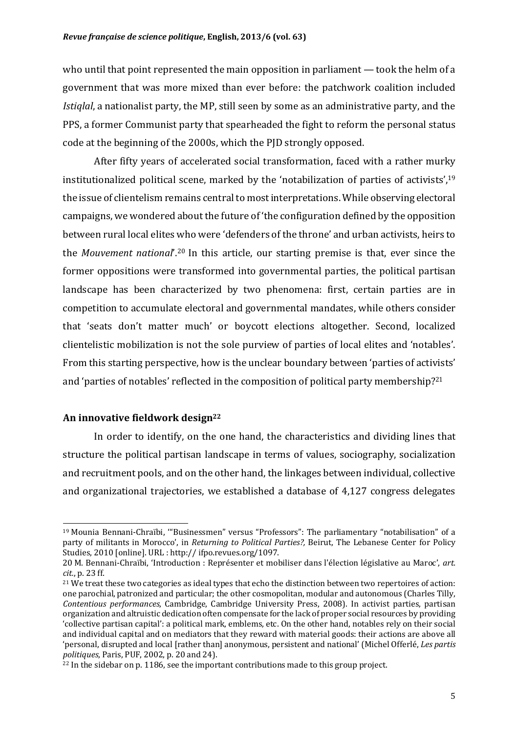who until that point represented the main opposition in parliament  $-$  took the helm of a government that was more mixed than ever before: the patchwork coalition included *Istiglal*, a nationalist party, the MP, still seen by some as an administrative party, and the PPS, a former Communist party that spearheaded the fight to reform the personal status code at the beginning of the 2000s, which the PJD strongly opposed.

After fifty years of accelerated social transformation, faced with a rather murky institutionalized political scene, marked by the 'notabilization of parties of activists',  $19$ the issue of clientelism remains central to most interpretations. While observing electoral campaigns, we wondered about the future of 'the configuration defined by the opposition between rural local elites who were 'defenders of the throne' and urban activists, heirs to the *Mouvement national*'.<sup>20</sup> In this article, our starting premise is that, ever since the former oppositions were transformed into governmental parties, the political partisan landscape has been characterized by two phenomena: first, certain parties are in competition to accumulate electoral and governmental mandates, while others consider that 'seats don't matter much' or boycott elections altogether. Second, localized clientelistic mobilization is not the sole purview of parties of local elites and 'notables'. From this starting perspective, how is the unclear boundary between 'parties of activists' and 'parties of notables' reflected in the composition of political party membership?<sup>21</sup>

#### **An innovative fieldwork design22**

 

In order to identify, on the one hand, the characteristics and dividing lines that structure the political partisan landscape in terms of values, sociography, socialization and recruitment pools, and on the other hand, the linkages between individual, collective and organizational trajectories, we established a database of 4,127 congress delegates

<sup>&</sup>lt;sup>19</sup> Mounia Bennani-Chraïbi, "Businessmen" versus "Professors": The parliamentary "notabilisation" of a party of militants in Morocco', in *Returning to Political Parties?*, Beirut, The Lebanese Center for Policy Studies, 2010 [online]. URL : http:// ifpo.revues.org/1097.

<sup>20</sup> M. Bennani-Chraïbi, 'Introduction : Représenter et mobiliser dans l'élection législative au Maroc', art. *cit.*, p. 23 ff.

<sup>&</sup>lt;sup>21</sup> We treat these two categories as ideal types that echo the distinction between two repertoires of action: one parochial, patronized and particular; the other cosmopolitan, modular and autonomous (Charles Tilly, *Contentious performances*, Cambridge, Cambridge University Press, 2008). In activist parties, partisan organization and altruistic dedication often compensate for the lack of proper social resources by providing 'collective partisan capital': a political mark, emblems, etc. On the other hand, notables rely on their social and individual capital and on mediators that they reward with material goods: their actions are above all 'personal, disrupted and local [rather than] anonymous, persistent and national' (Michel Offerlé, *Les partis politiques*, Paris, PUF, 2002, p. 20 and 24).

 $^{22}$  In the sidebar on p. 1186, see the important contributions made to this group project.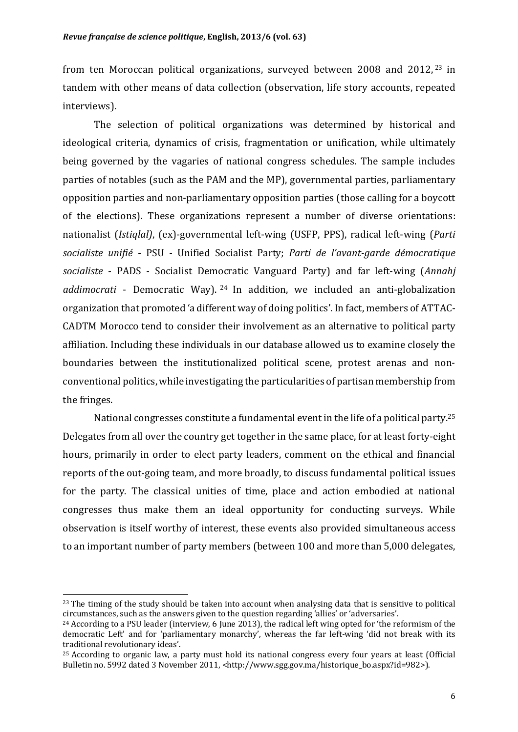from ten Moroccan political organizations, surveyed between 2008 and  $2012$ ,  $23$  in tandem with other means of data collection (observation, life story accounts, repeated interviews).

The selection of political organizations was determined by historical and ideological criteria, dynamics of crisis, fragmentation or unification, while ultimately being governed by the vagaries of national congress schedules. The sample includes parties of notables (such as the PAM and the MP), governmental parties, parliamentary opposition parties and non-parliamentary opposition parties (those calling for a boycott of the elections). These organizations represent a number of diverse orientations: nationalist (*Istiglal*), (ex)-governmental left-wing (USFP, PPS), radical left-wing (*Parti* socialiste *unifié* - PSU - Unified Socialist Party; *Parti de l'avant-garde démocratique socialiste* - PADS - Socialist Democratic Vanguard Party) and far left-wing (*Annahi* addimocrati - Democratic Way). <sup>24</sup> In addition, we included an anti-globalization organization that promoted 'a different way of doing politics'. In fact, members of ATTAC-CADTM Morocco tend to consider their involvement as an alternative to political party affiliation. Including these individuals in our database allowed us to examine closely the boundaries between the institutionalized political scene, protest arenas and nonconventional politics, while investigating the particularities of partisan membership from the fringes.

National congresses constitute a fundamental event in the life of a political party.<sup>25</sup> Delegates from all over the country get together in the same place, for at least forty-eight hours, primarily in order to elect party leaders, comment on the ethical and financial reports of the out-going team, and more broadly, to discuss fundamental political issues for the party. The classical unities of time, place and action embodied at national congresses thus make them an ideal opportunity for conducting surveys. While observation is itself worthy of interest, these events also provided simultaneous access to an important number of party members (between 100 and more than 5,000 delegates,

<sup>&</sup>lt;sup>23</sup> The timing of the study should be taken into account when analysing data that is sensitive to political circumstances, such as the answers given to the question regarding 'allies' or 'adversaries'.

 $24$  According to a PSU leader (interview, 6 June 2013), the radical left wing opted for 'the reformism of the democratic Left' and for 'parliamentary monarchy', whereas the far left-wing 'did not break with its traditional revolutionary ideas'.

 $25$  According to organic law, a party must hold its national congress every four years at least (Official Bulletin no. 5992 dated 3 November 2011, <http://www.sgg.gov.ma/historique\_bo.aspx?id=982>).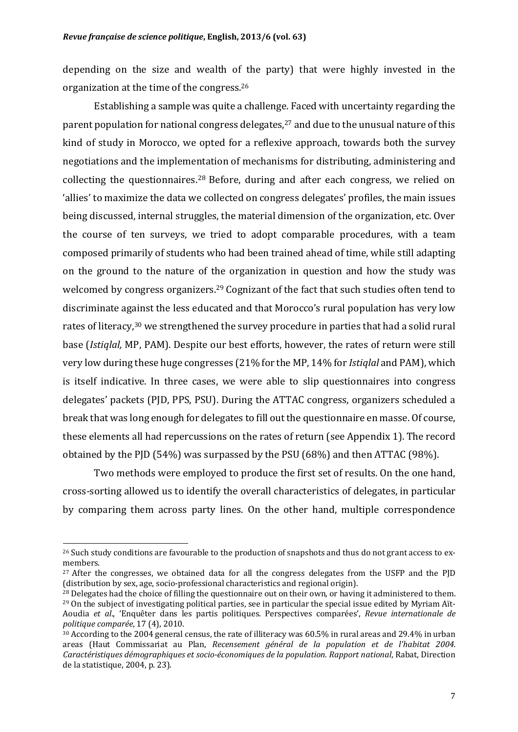depending on the size and wealth of the party) that were highly invested in the organization at the time of the congress.<sup>26</sup>

Establishing a sample was quite a challenge. Faced with uncertainty regarding the parent population for national congress delegates,<sup>27</sup> and due to the unusual nature of this kind of study in Morocco, we opted for a reflexive approach, towards both the survey negotiations and the implementation of mechanisms for distributing, administering and collecting the questionnaires.<sup>28</sup> Before, during and after each congress, we relied on 'allies' to maximize the data we collected on congress delegates' profiles, the main issues being discussed, internal struggles, the material dimension of the organization, etc. Over the course of ten surveys, we tried to adopt comparable procedures, with a team composed primarily of students who had been trained ahead of time, while still adapting on the ground to the nature of the organization in question and how the study was welcomed by congress organizers.<sup>29</sup> Cognizant of the fact that such studies often tend to discriminate against the less educated and that Morocco's rural population has very low rates of literacy,<sup>30</sup> we strengthened the survey procedure in parties that had a solid rural base (*Istiqlal*, MP, PAM). Despite our best efforts, however, the rates of return were still very low during these huge congresses (21% for the MP, 14% for *Istiglal* and PAM), which is itself indicative. In three cases, we were able to slip questionnaires into congress delegates' packets (PJD, PPS, PSU). During the ATTAC congress, organizers scheduled a break that was long enough for delegates to fill out the questionnaire en masse. Of course, these elements all had repercussions on the rates of return (see Appendix 1). The record obtained by the PJD  $(54%)$  was surpassed by the PSU  $(68%)$  and then ATTAC  $(98%)$ .

Two methods were employed to produce the first set of results. On the one hand, cross-sorting allowed us to identify the overall characteristics of delegates, in particular by comparing them across party lines. On the other hand, multiple correspondence

 $^{26}$  Such study conditions are favourable to the production of snapshots and thus do not grant access to exmembers. 

 $27$  After the congresses, we obtained data for all the congress delegates from the USFP and the PID (distribution by sex, age, socio-professional characteristics and regional origin).

<sup>&</sup>lt;sup>28</sup> Delegates had the choice of filling the questionnaire out on their own, or having it administered to them. <sup>29</sup> On the subject of investigating political parties, see in particular the special issue edited by Myriam Aït-Aoudia et al., 'Enquêter dans les partis politiques. Perspectives comparées', *Revue internationale de politique comparée*, 17 (4), 2010.

<sup>&</sup>lt;sup>30</sup> According to the 2004 general census, the rate of illiteracy was 60.5% in rural areas and 29.4% in urban areas (Haut Commissariat au Plan, *Recensement général de la population et de l'habitat 2004*. *Caractéristiques démographiques et socio-économiques de la population. Rapport national, Rabat, Direction* de la statistique, 2004, p. 23).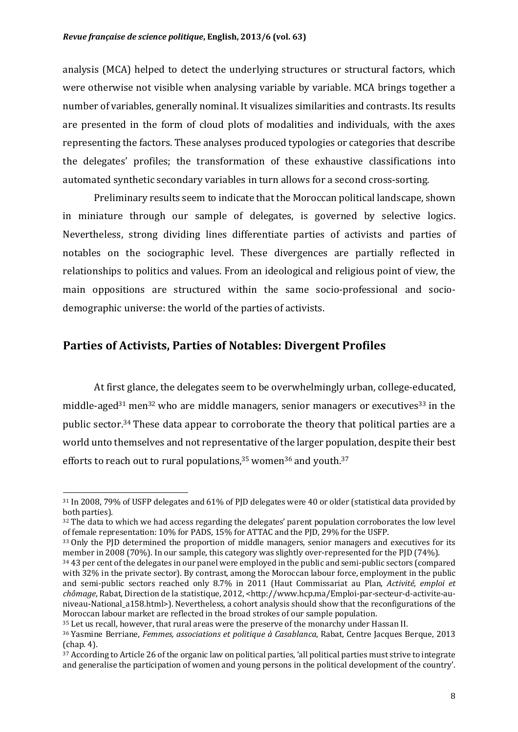analysis (MCA) helped to detect the underlying structures or structural factors, which were otherwise not visible when analysing variable by variable. MCA brings together a number of variables, generally nominal. It visualizes similarities and contrasts. Its results are presented in the form of cloud plots of modalities and individuals, with the axes representing the factors. These analyses produced typologies or categories that describe the delegates' profiles; the transformation of these exhaustive classifications into automated synthetic secondary variables in turn allows for a second cross-sorting.

Preliminary results seem to indicate that the Moroccan political landscape, shown in miniature through our sample of delegates, is governed by selective logics. Nevertheless, strong dividing lines differentiate parties of activists and parties of notables on the sociographic level. These divergences are partially reflected in relationships to politics and values. From an ideological and religious point of view, the main oppositions are structured within the same socio-professional and sociodemographic universe: the world of the parties of activists.

#### Parties of Activists, Parties of Notables: Divergent Profiles

 

At first glance, the delegates seem to be overwhelmingly urban, college-educated, middle-aged<sup>31</sup> men<sup>32</sup> who are middle managers, senior managers or executives<sup>33</sup> in the public sector.<sup>34</sup> These data appear to corroborate the theory that political parties are a world unto themselves and not representative of the larger population, despite their best efforts to reach out to rural populations,  $35$  women  $36$  and youth.  $37$ 

 $31$  In 2008, 79% of USFP delegates and 61% of PID delegates were 40 or older (statistical data provided by both parties).

 $32$  The data to which we had access regarding the delegates' parent population corroborates the low level of female representation: 10% for PADS, 15% for ATTAC and the PJD, 29% for the USFP.

<sup>&</sup>lt;sup>33</sup> Only the PID determined the proportion of middle managers, senior managers and executives for its member in 2008 (70%). In our sample, this category was slightly over-represented for the PJD (74%).

<sup>&</sup>lt;sup>34</sup> 43 per cent of the delegates in our panel were employed in the public and semi-public sectors (compared with 32% in the private sector). By contrast, among the Moroccan labour force, employment in the public and semi-public sectors reached only 8.7% in 2011 (Haut Commissariat au Plan, Activité, emploi et *chômage*, Rabat, Direction de la statistique, 2012, <http://www.hcp.ma/Emploi-par-secteur-d-activite-auniveau-National\_a158.html>). Nevertheless, a cohort analysis should show that the reconfigurations of the Moroccan labour market are reflected in the broad strokes of our sample population.

<sup>&</sup>lt;sup>35</sup> Let us recall, however, that rural areas were the preserve of the monarchy under Hassan II.

<sup>&</sup>lt;sup>36</sup> Yasmine Berriane, *Femmes, associations et politique à Casablanca*, Rabat, Centre Jacques Berque, 2013  $(\text{chan. } 4)$ .

 $37$  According to Article 26 of the organic law on political parties, 'all political parties must strive to integrate and generalise the participation of women and young persons in the political development of the country'.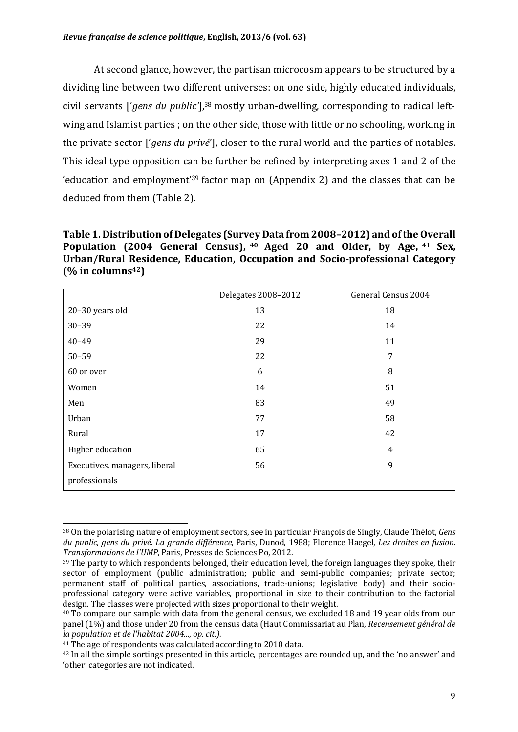At second glance, however, the partisan microcosm appears to be structured by a dividing line between two different universes: on one side, highly educated individuals, civil servants ['*gens du public'*],<sup>38</sup> mostly urban-dwelling, corresponding to radical leftwing and Islamist parties ; on the other side, those with little or no schooling, working in the private sector *['gens du privé']*, closer to the rural world and the parties of notables. This ideal type opposition can be further be refined by interpreting axes 1 and 2 of the 'education and employment<sup>'39</sup> factor map on  $(A$ ppendix 2) and the classes that can be deduced from them (Table 2).

**Table 1. Distribution of Delegates (Survey Data from 2008–2012) and of the Overall Population (2004 General Census), <sup>40</sup> Aged 20 and Older, by Age, <sup>41</sup> Sex,**  Urban/Rural Residence, Education, Occupation and Socio-professional Category **(% in columns42)**

|                               | Delegates 2008-2012 | General Census 2004 |
|-------------------------------|---------------------|---------------------|
| 20-30 years old               | 13                  | 18                  |
| $30 - 39$                     | 22                  | 14                  |
| $40 - 49$                     | 29                  | 11                  |
| $50 - 59$                     | 22                  | 7                   |
| 60 or over                    | 6                   | 8                   |
| Women                         | 14                  | 51                  |
| Men                           | 83                  | 49                  |
| Urban                         | 77                  | 58                  |
| Rural                         | 17                  | 42                  |
| Higher education              | 65                  | $\overline{4}$      |
| Executives, managers, liberal | 56                  | 9                   |
| professionals                 |                     |                     |

 38 On the polarising nature of employment sectors, see in particular François de Singly, Claude Thélot, *Gens* du public, gens du privé. La grande différence, Paris, Dunod, 1988; Florence Haegel, *Les droites en fusion. Transformations de l'UMP*, Paris, Presses de Sciences Po, 2012.

 $39$  The party to which respondents belonged, their education level, the foreign languages they spoke, their sector of employment (public administration; public and semi-public companies; private sector; permanent staff of political parties, associations, trade-unions; legislative body) and their socioprofessional category were active variables, proportional in size to their contribution to the factorial design. The classes were projected with sizes proportional to their weight.

 $40$  To compare our sample with data from the general census, we excluded 18 and 19 year olds from our panel (1%) and those under 20 from the census data (Haut Commissariat au Plan, *Recensement général de la population et de l'habitat 2004*..., *op. cit.).*

<sup>&</sup>lt;sup>41</sup> The age of respondents was calculated according to 2010 data.

<sup>&</sup>lt;sup>42</sup> In all the simple sortings presented in this article, percentages are rounded up, and the 'no answer' and 'other' categories are not indicated.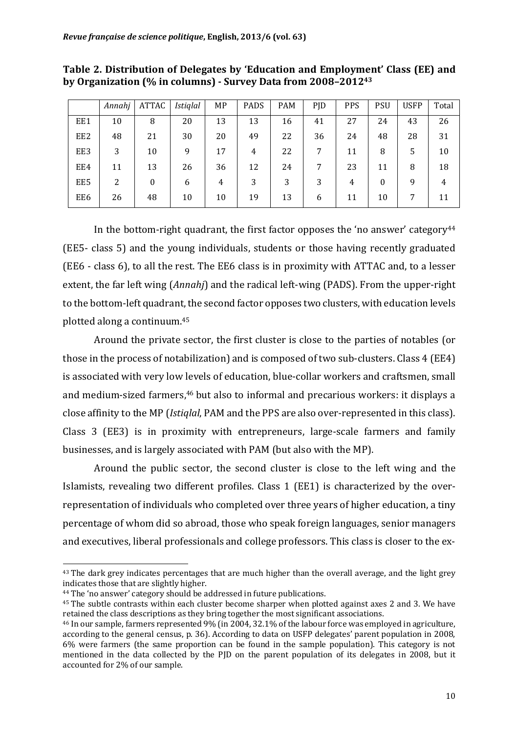|     | Annahj | ATTAC | <i>Istiqlal</i> | MP | <b>PADS</b> | <b>PAM</b> | PJD | <b>PPS</b> | <b>PSU</b> | <b>USFP</b> | Total |
|-----|--------|-------|-----------------|----|-------------|------------|-----|------------|------------|-------------|-------|
| EE1 | 10     | 8     | 20              | 13 | 13          | 16         | 41  | 27         | 24         | 43          | 26    |
| EE2 | 48     | 21    | 30              | 20 | 49          | 22         | 36  | 24         | 48         | 28          | 31    |
| EE3 | 3      | 10    | 9               | 17 | 4           | 22         | 7   | 11         | 8          | 5           | 10    |
| EE4 | 11     | 13    | 26              | 36 | 12          | 24         |     | 23         | 11         | 8           | 18    |
| EE5 | 2      | 0     | 6               | 4  | 3           | 3          | 3   | 4          | 0          | 9           | 4     |
| EE6 | 26     | 48    | 10              | 10 | 19          | 13         | 6   | 11         | 10         |             | 11    |

#### Table 2. Distribution of Delegates by 'Education and Employment' Class (EE) and by Organization (% in columns) - Survey Data from 2008–2012<sup>43</sup>

In the bottom-right quadrant, the first factor opposes the 'no answer' category<sup>44</sup> (EE5- class 5) and the young individuals, students or those having recently graduated (EE6 - class 6), to all the rest. The EE6 class is in proximity with ATTAC and, to a lesser extent, the far left wing (*Annahj*) and the radical left-wing (PADS). From the upper-right to the bottom-left quadrant, the second factor opposes two clusters, with education levels plotted along a continuum.<sup>45</sup>

Around the private sector, the first cluster is close to the parties of notables (or those in the process of notabilization) and is composed of two sub-clusters. Class (EE4) is associated with very low levels of education, blue-collar workers and craftsmen, small and medium-sized farmers,<sup>46</sup> but also to informal and precarious workers: it displays a close affinity to the MP (*Istiglal*, PAM and the PPS are also over-represented in this class). Class 3 (EE3) is in proximity with entrepreneurs, large-scale farmers and family businesses, and is largely associated with PAM (but also with the MP).

Around the public sector, the second cluster is close to the left wing and the Islamists, revealing two different profiles. Class 1 (EE1) is characterized by the overrepresentation of individuals who completed over three years of higher education, a tiny percentage of whom did so abroad, those who speak foreign languages, senior managers and executives, liberal professionals and college professors. This class is closer to the ex-

 The dark grey indicates percentages that are much higher than the overall average, and the light grey indicates those that are slightly higher.

<sup>&</sup>lt;sup>44</sup> The 'no answer' category should be addressed in future publications.

<sup>&</sup>lt;sup>45</sup> The subtle contrasts within each cluster become sharper when plotted against axes 2 and 3. We have retained the class descriptions as they bring together the most significant associations.

<sup>&</sup>lt;sup>46</sup> In our sample, farmers represented 9% (in 2004, 32.1% of the labour force was employed in agriculture, according to the general census, p. 36). According to data on USFP delegates' parent population in 2008,  $6\%$  were farmers (the same proportion can be found in the sample population). This category is not mentioned in the data collected by the PJD on the parent population of its delegates in 2008, but it accounted for 2% of our sample.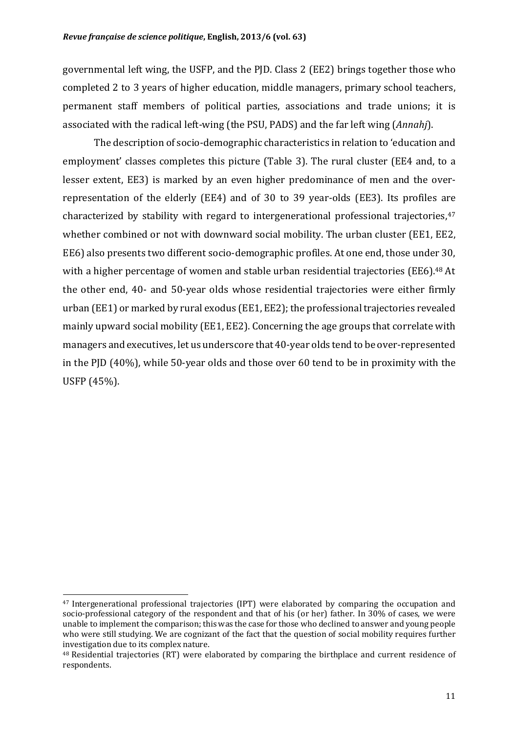governmental left wing, the USFP, and the PJD. Class 2 (EE2) brings together those who completed 2 to 3 years of higher education, middle managers, primary school teachers, permanent staff members of political parties, associations and trade unions; it is associated with the radical left-wing (the PSU, PADS) and the far left wing (*Annahj*).

The description of socio-demographic characteristics in relation to 'education and employment' classes completes this picture (Table 3). The rural cluster (EE4 and, to a lesser extent, EE3) is marked by an even higher predominance of men and the overrepresentation of the elderly (EE4) and of 30 to 39 year-olds (EE3). Its profiles are characterized by stability with regard to intergenerational professional trajectories,  $47$ whether combined or not with downward social mobility. The urban cluster (EE1, EE2, EE6) also presents two different socio-demographic profiles. At one end, those under 30, with a higher percentage of women and stable urban residential trajectories (EE6).<sup>48</sup> At the other end, 40- and 50-year olds whose residential trajectories were either firmly urban (EE1) or marked by rural exodus (EE1, EE2); the professional trajectories revealed mainly upward social mobility (EE1, EE2). Concerning the age groups that correlate with managers and executives, let us underscore that 40-year olds tend to be over-represented in the PJD  $(40\%)$ , while 50-year olds and those over 60 tend to be in proximity with the USFP (45%).

<sup>&</sup>lt;sup>47</sup> Intergenerational professional trajectories (IPT) were elaborated by comparing the occupation and socio-professional category of the respondent and that of his (or her) father. In  $30\%$  of cases, we were unable to implement the comparison; this was the case for those who declined to answer and young people who were still studying. We are cognizant of the fact that the question of social mobility requires further investigation due to its complex nature.

 $48$  Residential trajectories  $(RT)$  were elaborated by comparing the birthplace and current residence of respondents.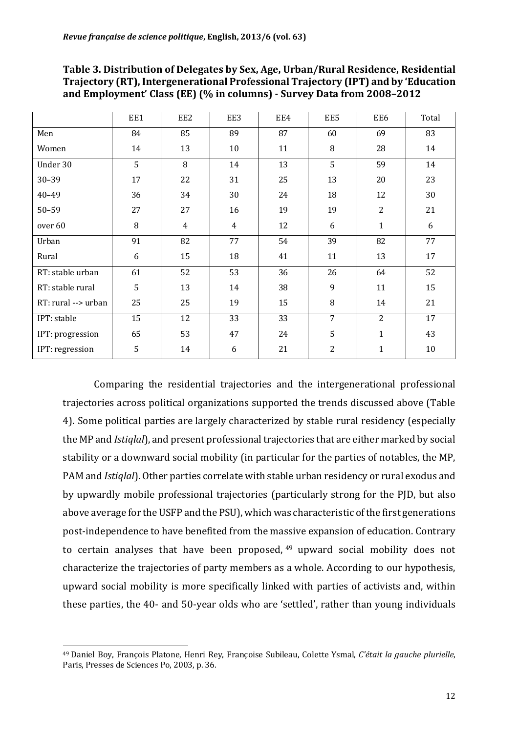|                     | EE1 | EE2 | EE3            | EE4 | EE5            | EE6          | Total |
|---------------------|-----|-----|----------------|-----|----------------|--------------|-------|
| Men                 | 84  | 85  | 89             | 87  | 60             | 69           | 83    |
| Women               | 14  | 13  | 10             | 11  | 8              | 28           | 14    |
| Under 30            | 5   | 8   | 14             | 13  | 5              | 59           | 14    |
| $30 - 39$           | 17  | 22  | 31             | 25  | 13             | 20           | 23    |
| $40 - 49$           | 36  | 34  | 30             | 24  | 18             | 12           | 30    |
| $50 - 59$           | 27  | 27  | 16             | 19  | 19             | 2            | 21    |
| over 60             | 8   | 4   | $\overline{4}$ | 12  | 6              | $\mathbf{1}$ | 6     |
| Urban               | 91  | 82  | 77             | 54  | 39             | 82           | 77    |
| Rural               | 6   | 15  | 18             | 41  | 11             | 13           | 17    |
| RT: stable urban    | 61  | 52  | 53             | 36  | 26             | 64           | 52    |
| RT: stable rural    | 5   | 13  | 14             | 38  | 9              | 11           | 15    |
| RT: rural --> urban | 25  | 25  | 19             | 15  | 8              | 14           | 21    |
| IPT: stable         | 15  | 12  | 33             | 33  | 7              | 2            | 17    |
| IPT: progression    | 65  | 53  | 47             | 24  | 5              | $\mathbf{1}$ | 43    |
| IPT: regression     | 5   | 14  | 6              | 21  | $\overline{2}$ | $\mathbf{1}$ | 10    |

Table 3. Distribution of Delegates by Sex, Age, Urban/Rural Residence, Residential **Trajectory (RT), Intergenerational Professional Trajectory (IPT) and by 'Education** and Employment' Class (EE) (% in columns) - Survey Data from 2008-2012

Comparing the residential trajectories and the intergenerational professional trajectories across political organizations supported the trends discussed above (Table 4). Some political parties are largely characterized by stable rural residency (especially the MP and *Istiqlal*), and present professional trajectories that are either marked by social stability or a downward social mobility (in particular for the parties of notables, the MP, PAM and *Istiqlal*). Other parties correlate with stable urban residency or rural exodus and by upwardly mobile professional trajectories (particularly strong for the PJD, but also above average for the USFP and the PSU), which was characteristic of the first generations post-independence to have benefited from the massive expansion of education. Contrary to certain analyses that have been proposed, upward social mobility does not characterize the trajectories of party members as a whole. According to our hypothesis, upward social mobility is more specifically linked with parties of activists and, within these parties, the 40- and 50-year olds who are 'settled', rather than young individuals

<sup>&</sup>lt;sup>49</sup> Daniel Boy, François Platone, Henri Rey, Françoise Subileau, Colette Ysmal, C'était la gauche plurielle, Paris, Presses de Sciences Po, 2003, p. 36.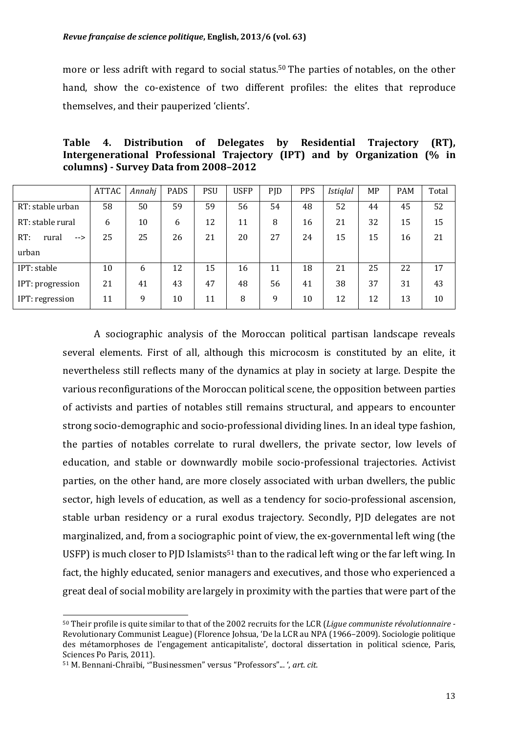more or less adrift with regard to social status.<sup>50</sup> The parties of notables, on the other hand, show the co-existence of two different profiles: the elites that reproduce themselves, and their pauperized 'clients'.

|  | Table 4. Distribution of Delegates by Residential Trajectory (RT),        |  |  |  |  |
|--|---------------------------------------------------------------------------|--|--|--|--|
|  | Intergenerational Professional Trajectory (IPT) and by Organization (% in |  |  |  |  |
|  | columns) - Survey Data from 2008–2012                                     |  |  |  |  |

|                     | <b>ATTAC</b> | Annahj | PADS | <b>PSU</b> | <b>USFP</b> | PJD | <b>PPS</b> | <b>Istiglal</b> | MP | <b>PAM</b> | Total |
|---------------------|--------------|--------|------|------------|-------------|-----|------------|-----------------|----|------------|-------|
| RT: stable urban    | 58           | 50     | 59   | 59         | 56          | 54  | 48         | 52              | 44 | 45         | 52    |
| RT: stable rural    | 6            | 10     | 6    | 12         | 11          | 8   | 16         | 21              | 32 | 15         | 15    |
| RT:<br>rural<br>--> | 25           | 25     | 26   | 21         | 20          | 27  | 24         | 15              | 15 | 16         | 21    |
| urban               |              |        |      |            |             |     |            |                 |    |            |       |
| IPT: stable         | 10           | 6      | 12   | 15         | 16          | 11  | 18         | 21              | 25 | 22         | 17    |
| IPT: progression    | 21           | 41     | 43   | 47         | 48          | 56  | 41         | 38              | 37 | 31         | 43    |
| IPT: regression     | 11           | 9      | 10   | 11         | 8           | 9   | 10         | 12              | 12 | 13         | 10    |

A sociographic analysis of the Moroccan political partisan landscape reveals several elements. First of all, although this microcosm is constituted by an elite, it nevertheless still reflects many of the dynamics at play in society at large. Despite the various reconfigurations of the Moroccan political scene, the opposition between parties of activists and parties of notables still remains structural, and appears to encounter strong socio-demographic and socio-professional dividing lines. In an ideal type fashion, the parties of notables correlate to rural dwellers, the private sector, low levels of education, and stable or downwardly mobile socio-professional trajectories. Activist parties, on the other hand, are more closely associated with urban dwellers, the public sector, high levels of education, as well as a tendency for socio-professional ascension, stable urban residency or a rural exodus trajectory. Secondly, PJD delegates are not marginalized, and, from a sociographic point of view, the ex-governmental left wing (the USFP) is much closer to PJD Islamists<sup>51</sup> than to the radical left wing or the far left wing. In fact, the highly educated, senior managers and executives, and those who experienced a great deal of social mobility are largely in proximity with the parties that were part of the

<sup>50</sup> Their profile is quite similar to that of the 2002 recruits for the LCR (*Lique communiste révolutionnaire* -Revolutionary Communist League) (Florence Johsua, 'De la LCR au NPA (1966–2009). Sociologie politique des métamorphoses de l'engagement anticapitaliste', doctoral dissertation in political science. Paris, Sciences Po Paris, 2011).

<sup>51</sup> M. Bennani-Chraïbi, "Businessmen" versus "Professors"... ', art. cit.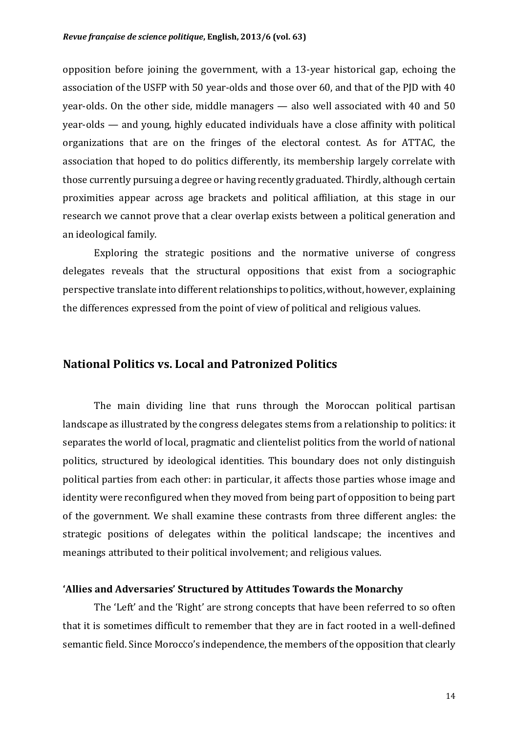opposition before joining the government, with a 13-year historical gap, echoing the association of the USFP with 50 year-olds and those over 60, and that of the PID with 40 year-olds. On the other side, middle managers  $-$  also well associated with 40 and 50  $year-olds$  — and young, highly educated individuals have a close affinity with political organizations that are on the fringes of the electoral contest. As for ATTAC, the association that hoped to do politics differently, its membership largely correlate with those currently pursuing a degree or having recently graduated. Thirdly, although certain proximities appear across age brackets and political affiliation, at this stage in our research we cannot prove that a clear overlap exists between a political generation and an ideological family.

Exploring the strategic positions and the normative universe of congress delegates reveals that the structural oppositions that exist from a sociographic perspective translate into different relationships to politics, without, however, explaining the differences expressed from the point of view of political and religious values.

#### **National Politics vs. Local and Patronized Politics**

The main dividing line that runs through the Moroccan political partisan landscape as illustrated by the congress delegates stems from a relationship to politics: it separates the world of local, pragmatic and clientelist politics from the world of national politics, structured by ideological identities. This boundary does not only distinguish political parties from each other: in particular, it affects those parties whose image and identity were reconfigured when they moved from being part of opposition to being part of the government. We shall examine these contrasts from three different angles: the strategic positions of delegates within the political landscape; the incentives and meanings attributed to their political involvement; and religious values.

#### **'Allies and Adversaries' Structured by Attitudes Towards the Monarchy**

The 'Left' and the 'Right' are strong concepts that have been referred to so often that it is sometimes difficult to remember that they are in fact rooted in a well-defined semantic field. Since Morocco's independence, the members of the opposition that clearly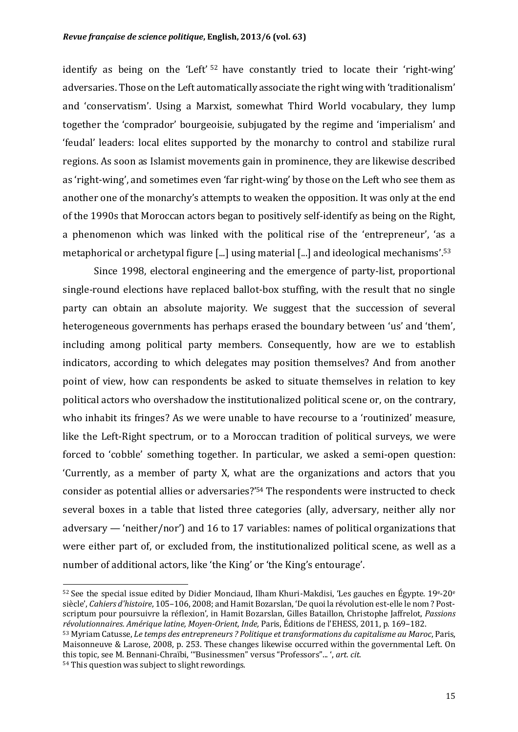identify as being on the 'Left' <sup>52</sup> have constantly tried to locate their 'right-wing' adversaries. Those on the Left automatically associate the right wing with 'traditionalism' and 'conservatism'. Using a Marxist, somewhat Third World vocabulary, they lump together the 'comprador' bourgeoisie, subjugated by the regime and 'imperialism' and 'feudal' leaders: local elites supported by the monarchy to control and stabilize rural regions. As soon as Islamist movements gain in prominence, they are likewise described as 'right-wing', and sometimes even 'far right-wing' by those on the Left who see them as another one of the monarchy's attempts to weaken the opposition. It was only at the end of the 1990s that Moroccan actors began to positively self-identify as being on the Right, a phenomenon which was linked with the political rise of the 'entrepreneur', 'as a metaphorical or archetypal figure  $\lceil ... \rceil$  using material  $\lceil ... \rceil$  and ideological mechanisms'.<sup>53</sup>

Since 1998, electoral engineering and the emergence of party-list, proportional single-round elections have replaced ballot-box stuffing, with the result that no single party can obtain an absolute majority. We suggest that the succession of several heterogeneous governments has perhaps erased the boundary between 'us' and 'them', including among political party members. Consequently, how are we to establish indicators, according to which delegates may position themselves? And from another point of view, how can respondents be asked to situate themselves in relation to key political actors who overshadow the institutionalized political scene or, on the contrary, who inhabit its fringes? As we were unable to have recourse to a 'routinized' measure, like the Left-Right spectrum, or to a Moroccan tradition of political surveys, we were forced to 'cobble' something together. In particular, we asked a semi-open question: 'Currently, as a member of party X, what are the organizations and actors that you consider as potential allies or adversaries?<sup>'54</sup> The respondents were instructed to check several boxes in a table that listed three categories (ally, adversary, neither ally nor adversary  $-$  'neither/nor') and 16 to 17 variables: names of political organizations that were either part of, or excluded from, the institutionalized political scene, as well as a number of additional actors, like 'the King' or 'the King's entourage'.

<sup>54</sup> This question was subject to slight rewordings.

 $52$  See the special issue edited by Didier Monciaud, Ilham Khuri-Makdisi, 'Les gauches en Égypte. 19<sup>e</sup>-20<sup>e</sup> siècle', *Cahiers d'histoire*, 105-106, 2008; and Hamit Bozarslan, 'De quoi la révolution est-elle le nom ? Postscriptum pour poursuivre la réflexion', in Hamit Bozarslan, Gilles Bataillon, Christophe Jaffrelot, *Passions révolutionnaires. Amérique latine, Moyen-Orient, Inde,* Paris, Éditions de l'EHESS, 2011, p. 169–182.

<sup>53</sup> Myriam Catusse, *Le temps des entrepreneurs ? Politique et transformations du capitalisme au Maroc*, Paris, Maisonneuve & Larose, 2008, p. 253. These changes likewise occurred within the governmental Left. On this topic, see M. Bennani-Chraïbi, "Businessmen" versus "Professors"... ', art. cit.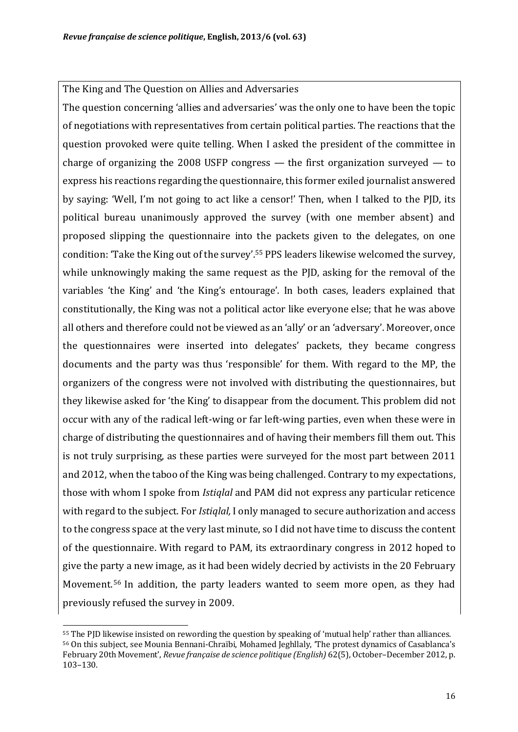The King and The Question on Allies and Adversaries

The question concerning 'allies and adversaries' was the only one to have been the topic of negotiations with representatives from certain political parties. The reactions that the question provoked were quite telling. When I asked the president of the committee in charge of organizing the 2008 USFP congress  $-$  the first organization surveyed  $-$  to express his reactions regarding the questionnaire, this former exiled journalist answered by saying: 'Well, I'm not going to act like a censor!' Then, when I talked to the PJD, its political bureau unanimously approved the survey (with one member absent) and proposed slipping the questionnaire into the packets given to the delegates, on one condition: 'Take the King out of the survey'.<sup>55</sup> PPS leaders likewise welcomed the survey, while unknowingly making the same request as the PJD, asking for the removal of the variables 'the King' and 'the King's entourage'. In both cases, leaders explained that constitutionally, the King was not a political actor like everyone else; that he was above all others and therefore could not be viewed as an 'ally' or an 'adversary'. Moreover, once the questionnaires were inserted into delegates' packets, they became congress documents and the party was thus 'responsible' for them. With regard to the MP, the organizers of the congress were not involved with distributing the questionnaires, but they likewise asked for 'the King' to disappear from the document. This problem did not occur with any of the radical left-wing or far left-wing parties, even when these were in charge of distributing the questionnaires and of having their members fill them out. This is not truly surprising, as these parties were surveyed for the most part between 2011 and 2012, when the taboo of the King was being challenged. Contrary to my expectations, those with whom I spoke from *Istialal* and PAM did not express any particular reticence with regard to the subject. For *Istiglal*, I only managed to secure authorization and access to the congress space at the very last minute, so I did not have time to discuss the content of the questionnaire. With regard to PAM, its extraordinary congress in 2012 hoped to give the party a new image, as it had been widely decried by activists in the 20 February Movement.<sup>56</sup> In addition, the party leaders wanted to seem more open, as they had previously refused the survey in 2009.

<sup>&</sup>lt;sup>55</sup> The PID likewise insisted on rewording the question by speaking of 'mutual help' rather than alliances.  $56$  On this subject, see Mounia Bennani-Chraïbi, Mohamed Ieghllaly, 'The protest dynamics of Casablanca's February 20th Movement', *Revue française de science politique* (English) 62(5), October-December 2012, p. 103–130.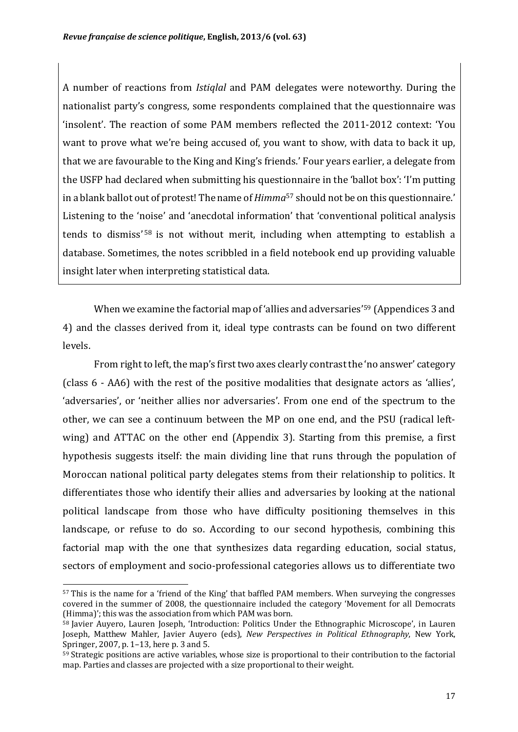A number of reactions from *Istiglal* and PAM delegates were noteworthy. During the nationalist party's congress, some respondents complained that the questionnaire was 'insolent'. The reaction of some PAM members reflected the 2011-2012 context: 'You want to prove what we're being accused of, you want to show, with data to back it up, that we are favourable to the King and King's friends.' Four years earlier, a delegate from the USFP had declared when submitting his questionnaire in the 'ballot box': 'I'm putting in a blank ballot out of protest! The name of *Himma*<sup>57</sup> should not be on this questionnaire.' Listening to the 'noise' and 'anecdotal information' that 'conventional political analysis tends to dismiss'  $58$  is not without merit, including when attempting to establish a database. Sometimes, the notes scribbled in a field notebook end up providing valuable insight later when interpreting statistical data.

When we examine the factorial map of 'allies and adversaries'<sup>59</sup> (Appendices 3 and 4) and the classes derived from it, ideal type contrasts can be found on two different levels.

From right to left, the map's first two axes clearly contrast the 'no answer' category  $class 6 - AA6$ ) with the rest of the positive modalities that designate actors as 'allies', 'adversaries', or 'neither allies nor adversaries'. From one end of the spectrum to the other, we can see a continuum between the MP on one end, and the PSU (radical leftwing) and ATTAC on the other end (Appendix 3). Starting from this premise, a first hypothesis suggests itself: the main dividing line that runs through the population of Moroccan national political party delegates stems from their relationship to politics. It differentiates those who identify their allies and adversaries by looking at the national political landscape from those who have difficulty positioning themselves in this landscape, or refuse to do so. According to our second hypothesis, combining this factorial map with the one that synthesizes data regarding education, social status, sectors of employment and socio-professional categories allows us to differentiate two

<sup>57</sup> This is the name for a 'friend of the King' that baffled PAM members. When surveying the congresses covered in the summer of 2008, the questionnaire included the category 'Movement for all Democrats  $(Himma)'$ ; this was the association from which PAM was born.

 $58$  Javier Auyero, Lauren Joseph, 'Introduction: Politics Under the Ethnographic Microscope', in Lauren Joseph, Matthew Mahler, Javier Auyero (eds), *New Perspectives in Political Ethnography*, New York, Springer,  $2007$ , p.  $1-13$ , here p. 3 and 5.

 $59$  Strategic positions are active variables, whose size is proportional to their contribution to the factorial map. Parties and classes are projected with a size proportional to their weight.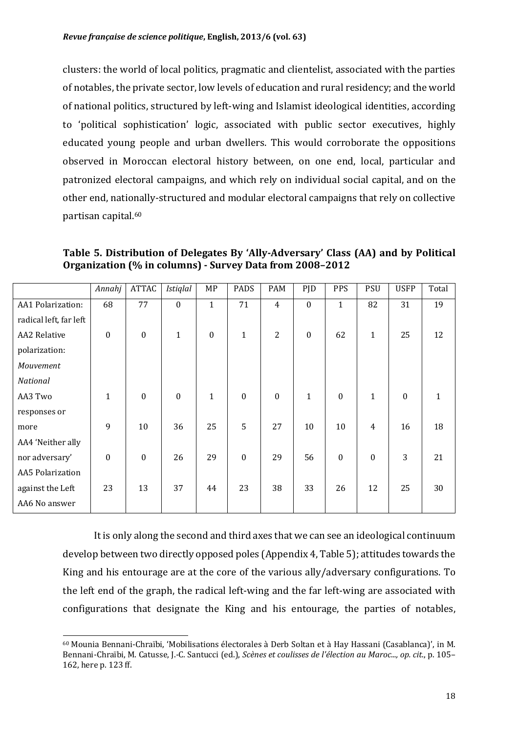clusters: the world of local politics, pragmatic and clientelist, associated with the parties of notables, the private sector, low levels of education and rural residency; and the world of national politics, structured by left-wing and Islamist ideological identities, according to 'political sophistication' logic, associated with public sector executives, highly educated young people and urban dwellers. This would corroborate the oppositions observed in Moroccan electoral history between, on one end, local, particular and patronized electoral campaigns, and which rely on individual social capital, and on the other end, nationally-structured and modular electoral campaigns that rely on collective partisan capital.<sup>60</sup>

Table 5. Distribution of Delegates By 'Ally-Adversary' Class (AA) and by Political **Organization** (% in columns) - Survey Data from 2008-2012

|                         | Annahj           | <b>ATTAC</b>     | <b>Istiglal</b>  | MP               | <b>PADS</b>      | PAM            | PJD              | PPS              | <b>PSU</b>     | <b>USFP</b>      | Total |
|-------------------------|------------------|------------------|------------------|------------------|------------------|----------------|------------------|------------------|----------------|------------------|-------|
| AA1 Polarization:       | 68               | 77               | $\bf{0}$         | $\mathbf{1}$     | 71               | $\overline{4}$ | $\boldsymbol{0}$ | $\mathbf{1}$     | 82             | 31               | 19    |
| radical left, far left  |                  |                  |                  |                  |                  |                |                  |                  |                |                  |       |
| <b>AA2 Relative</b>     | $\boldsymbol{0}$ | $\boldsymbol{0}$ | $\mathbf{1}$     | $\boldsymbol{0}$ | $\mathbf{1}$     | $\overline{2}$ | $\boldsymbol{0}$ | 62               | $\mathbf{1}$   | 25               | 12    |
| polarization:           |                  |                  |                  |                  |                  |                |                  |                  |                |                  |       |
| Mouvement               |                  |                  |                  |                  |                  |                |                  |                  |                |                  |       |
| National                |                  |                  |                  |                  |                  |                |                  |                  |                |                  |       |
| AA3 Two                 | $\mathbf{1}$     | $\boldsymbol{0}$ | $\boldsymbol{0}$ | $\mathbf{1}$     | $\mathbf{0}$     | $\mathbf{0}$   | $\mathbf{1}$     | $\mathbf{0}$     | $\mathbf{1}$   | $\boldsymbol{0}$ | 1     |
| responses or            |                  |                  |                  |                  |                  |                |                  |                  |                |                  |       |
| more                    | 9                | 10               | 36               | 25               | 5                | 27             | 10               | 10               | $\overline{4}$ | 16               | 18    |
| AA4 'Neither ally       |                  |                  |                  |                  |                  |                |                  |                  |                |                  |       |
| nor adversary'          | $\boldsymbol{0}$ | $\boldsymbol{0}$ | 26               | 29               | $\boldsymbol{0}$ | 29             | 56               | $\boldsymbol{0}$ | $\mathbf{0}$   | 3                | 21    |
| <b>AA5 Polarization</b> |                  |                  |                  |                  |                  |                |                  |                  |                |                  |       |
| against the Left        | 23               | 13               | 37               | 44               | 23               | 38             | 33               | 26               | 12             | 25               | 30    |
| AA6 No answer           |                  |                  |                  |                  |                  |                |                  |                  |                |                  |       |

It is only along the second and third axes that we can see an ideological continuum develop between two directly opposed poles (Appendix 4, Table 5); attitudes towards the King and his entourage are at the core of the various ally/adversary configurations. To the left end of the graph, the radical left-wing and the far left-wing are associated with configurations that designate the King and his entourage, the parties of notables,

 Mounia Bennani-Chraïbi, 'Mobilisations électorales à Derb Soltan et à Hay Hassani (Casablanca)', in M. Bennani-Chraïbi, M. Catusse, J.-C. Santucci (ed.), *Scènes et coulisses de l'élection au Maroc..., op. cit.*, p. 105– 162, here p. 123 ff.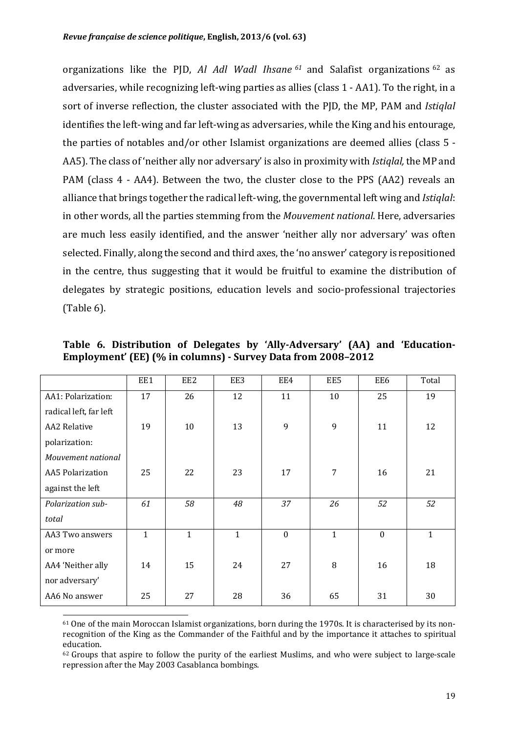organizations like the PJD, *Al Adl Wadl Ihsane* <sup>61</sup> and Salafist organizations <sup>62</sup> as adversaries, while recognizing left-wing parties as allies (class  $1 - AA1$ ). To the right, in a sort of inverse reflection, the cluster associated with the PJD, the MP, PAM and *Istiqlal* identifies the left-wing and far left-wing as adversaries, while the King and his entourage, the parties of notables and/or other Islamist organizations are deemed allies (class  $5 -$ AA5). The class of 'neither ally nor adversary' is also in proximity with *Istiqlal*, the MP and PAM (class 4 - AA4). Between the two, the cluster close to the PPS (AA2) reveals an alliance that brings together the radical left-wing, the governmental left wing and *Istiqlal*: in other words, all the parties stemming from the *Mouvement national*. Here, adversaries are much less easily identified, and the answer 'neither ally nor adversary' was often selected. Finally, along the second and third axes, the 'no answer' category is repositioned in the centre, thus suggesting that it would be fruitful to examine the distribution of delegates by strategic positions, education levels and socio-professional trajectories  $(Table 6).$ 

|                        | EE1          | EE2          | EE3          | EE4          | EE5          | EE6          | Total        |
|------------------------|--------------|--------------|--------------|--------------|--------------|--------------|--------------|
| AA1: Polarization:     | 17           | 26           | 12           | 11           | 10           | 25           | 19           |
| radical left, far left |              |              |              |              |              |              |              |
| <b>AA2</b> Relative    | 19           | 10           | 13           | 9            | 9            | 11           | 12           |
| polarization:          |              |              |              |              |              |              |              |
| Mouvement national     |              |              |              |              |              |              |              |
| AA5 Polarization       | 25           | 22           | 23           | 17           | 7            | 16           | 21           |
| against the left       |              |              |              |              |              |              |              |
| Polarization sub-      | 61           | 58           | 48           | 37           | 26           | 52           | 52           |
| total                  |              |              |              |              |              |              |              |
| AA3 Two answers        | $\mathbf{1}$ | $\mathbf{1}$ | $\mathbf{1}$ | $\mathbf{0}$ | $\mathbf{1}$ | $\mathbf{0}$ | $\mathbf{1}$ |
| or more                |              |              |              |              |              |              |              |
| AA4 'Neither ally      | 14           | 15           | 24           | 27           | 8            | 16           | 18           |
| nor adversary'         |              |              |              |              |              |              |              |
| AA6 No answer          | 25           | 27           | 28           | 36           | 65           | 31           | 30           |

Table 6. Distribution of Delegates by 'Ally-Adversary' (AA) and 'Education-**Employment'** (EE) (% in columns) - Survey Data from 2008-2012

<sup>&</sup>lt;sup>61</sup> One of the main Moroccan Islamist organizations, born during the 1970s. It is characterised by its nonrecognition of the King as the Commander of the Faithful and by the importance it attaches to spiritual education. 

 $62$  Groups that aspire to follow the purity of the earliest Muslims, and who were subject to large-scale repression after the May 2003 Casablanca bombings.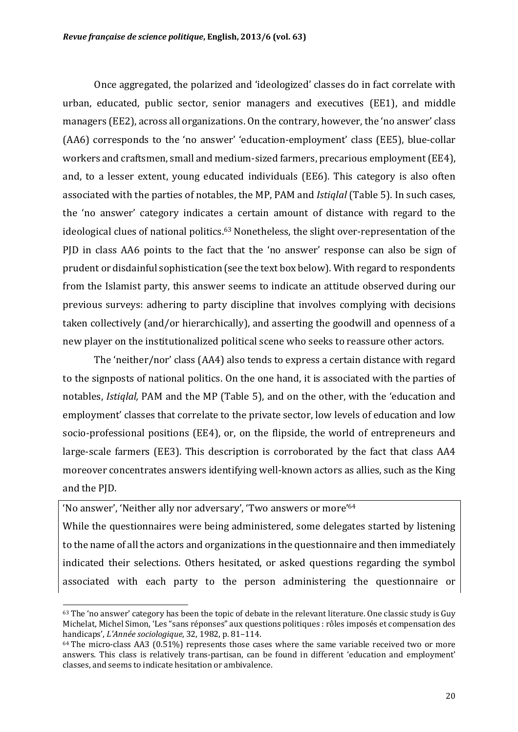Once aggregated, the polarized and 'ideologized' classes do in fact correlate with urban, educated, public sector, senior managers and executives (EE1), and middle managers (EE2), across all organizations. On the contrary, however, the 'no answer' class (AA6) corresponds to the 'no answer' 'education-employment' class (EE5), blue-collar workers and craftsmen, small and medium-sized farmers, precarious employment (EE4), and, to a lesser extent, young educated individuals (EE6). This category is also often associated with the parties of notables, the MP, PAM and *Istiqlal* (Table 5). In such cases, the 'no answer' category indicates a certain amount of distance with regard to the ideological clues of national politics.<sup>63</sup> Nonetheless, the slight over-representation of the PJD in class AA6 points to the fact that the 'no answer' response can also be sign of prudent or disdainful sophistication (see the text box below). With regard to respondents from the Islamist party, this answer seems to indicate an attitude observed during our previous surveys: adhering to party discipline that involves complying with decisions taken collectively (and/or hierarchically), and asserting the goodwill and openness of a new player on the institutionalized political scene who seeks to reassure other actors.

The 'neither/nor' class (AA4) also tends to express a certain distance with regard to the signposts of national politics. On the one hand, it is associated with the parties of notables, *Istiqlal*, PAM and the MP (Table 5), and on the other, with the 'education and employment' classes that correlate to the private sector, low levels of education and low socio-professional positions (EE4), or, on the flipside, the world of entrepreneurs and large-scale farmers (EE3). This description is corroborated by the fact that class AA4 moreover concentrates answers identifying well-known actors as allies, such as the King and the PJD.

'No answer', 'Neither ally nor adversary', 'Two answers or more'<sup>64</sup>

<u> 1989 - Johann Stein, marwolaethau a bh</u>

While the questionnaires were being administered, some delegates started by listening to the name of all the actors and organizations in the questionnaire and then immediately indicated their selections. Others hesitated, or asked questions regarding the symbol associated with each party to the person administering the questionnaire or

 $63$  The 'no answer' category has been the topic of debate in the relevant literature. One classic study is Guy Michelat, Michel Simon, 'Les "sans réponses" aux questions politiques : rôles imposés et compensation des handicaps', *L'Année sociologique*, 32, 1982, p. 81–114.

 $64$  The micro-class AA3 (0.51%) represents those cases where the same variable received two or more answers. This class is relatively trans-partisan, can be found in different 'education and employment' classes, and seems to indicate hesitation or ambivalence.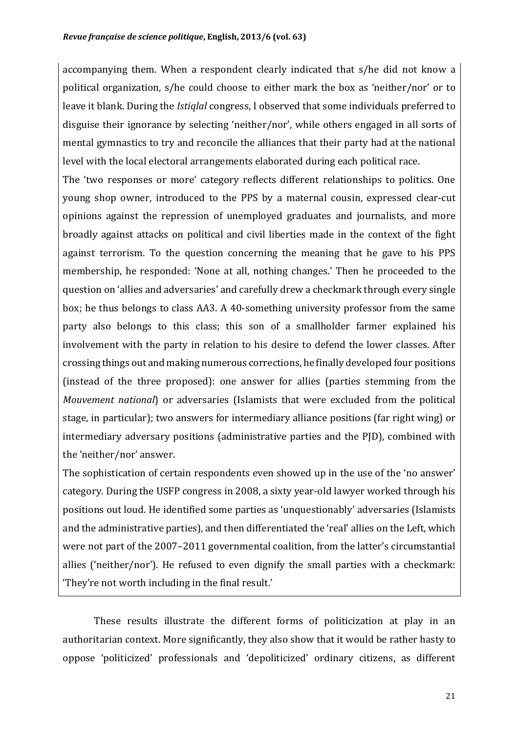accompanying them. When a respondent clearly indicated that s/he did not know a political organization, s/he could choose to either mark the box as 'neither/nor' or to leave it blank. During the *Istiqlal* congress, I observed that some individuals preferred to disguise their ignorance by selecting 'neither/nor', while others engaged in all sorts of mental gymnastics to try and reconcile the alliances that their party had at the national level with the local electoral arrangements elaborated during each political race.

The 'two responses or more' category reflects different relationships to politics. One young shop owner, introduced to the PPS by a maternal cousin, expressed clear-cut opinions against the repression of unemployed graduates and journalists, and more broadly against attacks on political and civil liberties made in the context of the fight against terrorism. To the question concerning the meaning that he gave to his PPS membership, he responded: 'None at all, nothing changes.' Then he proceeded to the question on 'allies and adversaries' and carefully drew a checkmark through every single box; he thus belongs to class AA3. A 40-something university professor from the same party also belongs to this class; this son of a smallholder farmer explained his involvement with the party in relation to his desire to defend the lower classes. After crossing things out and making numerous corrections, he finally developed four positions (instead of the three proposed): one answer for allies (parties stemming from the *Mouvement national*) or adversaries (Islamists that were excluded from the political stage, in particular); two answers for intermediary alliance positions (far right wing) or intermediary adversary positions (administrative parties and the PJD), combined with the 'neither/nor' answer.

The sophistication of certain respondents even showed up in the use of the 'no answer' category. During the USFP congress in 2008, a sixty year-old lawyer worked through his positions out loud. He identified some parties as 'unquestionably' adversaries (Islamists and the administrative parties), and then differentiated the 'real' allies on the Left, which were not part of the 2007–2011 governmental coalition, from the latter's circumstantial allies ('neither/nor'). He refused to even dignify the small parties with a checkmark: 'They're not worth including in the final result.'

These results illustrate the different forms of politicization at play in an authoritarian context. More significantly, they also show that it would be rather hasty to oppose 'politicized' professionals and 'depoliticized' ordinary citizens, as different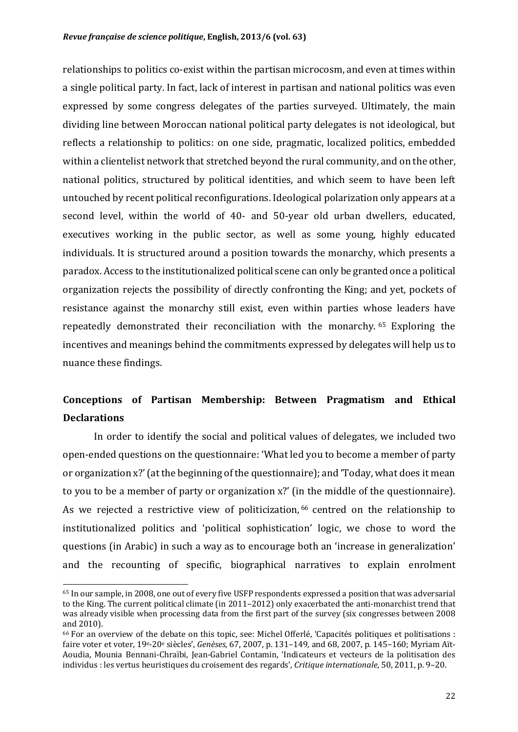relationships to politics co-exist within the partisan microcosm, and even at times within a single political party. In fact, lack of interest in partisan and national politics was even expressed by some congress delegates of the parties surveyed. Ultimately, the main dividing line between Moroccan national political party delegates is not ideological, but reflects a relationship to politics: on one side, pragmatic, localized politics, embedded within a clientelist network that stretched beyond the rural community, and on the other, national politics, structured by political identities, and which seem to have been left untouched by recent political reconfigurations. Ideological polarization only appears at a second level, within the world of 40- and 50-year old urban dwellers, educated, executives working in the public sector, as well as some young, highly educated individuals. It is structured around a position towards the monarchy, which presents a paradox. Access to the institutionalized political scene can only be granted once a political organization rejects the possibility of directly confronting the King; and yet, pockets of resistance against the monarchy still exist, even within parties whose leaders have repeatedly demonstrated their reconciliation with the monarchy. <sup>65</sup> Exploring the incentives and meanings behind the commitments expressed by delegates will help us to nuance these findings.

### **Conceptions of Partisan Membership: Between Pragmatism and Ethical Declarations**

In order to identify the social and political values of delegates, we included two open-ended questions on the questionnaire: 'What led you to become a member of party or organization x?' (at the beginning of the questionnaire); and 'Today, what does it mean to you to be a member of party or organization x?' (in the middle of the questionnaire). As we rejected a restrictive view of politicization, <sup>66</sup> centred on the relationship to institutionalized politics and 'political sophistication' logic, we chose to word the questions (in Arabic) in such a way as to encourage both an 'increase in generalization' and the recounting of specific, biographical narratives to explain enrolment

<sup>&</sup>lt;sup>65</sup> In our sample, in 2008, one out of every five USFP respondents expressed a position that was adversarial to the King. The current political climate (in 2011–2012) only exacerbated the anti-monarchist trend that was already visible when processing data from the first part of the survey (six congresses between 2008 and 2010).

 $66$  For an overview of the debate on this topic, see: Michel Offerlé, 'Capacités politiques et politisations : faire voter et voter,  $19e-20e$  siècles', *Genèses*, 67, 2007, p. 131–149, and 68, 2007, p. 145–160; Myriam Aït-Aoudia, Mounia Bennani-Chraïbi, Jean-Gabriel Contamin, 'Indicateurs et vecteurs de la politisation des individus : les vertus heuristiques du croisement des regards', *Critique internationale*, 50, 2011, p. 9–20.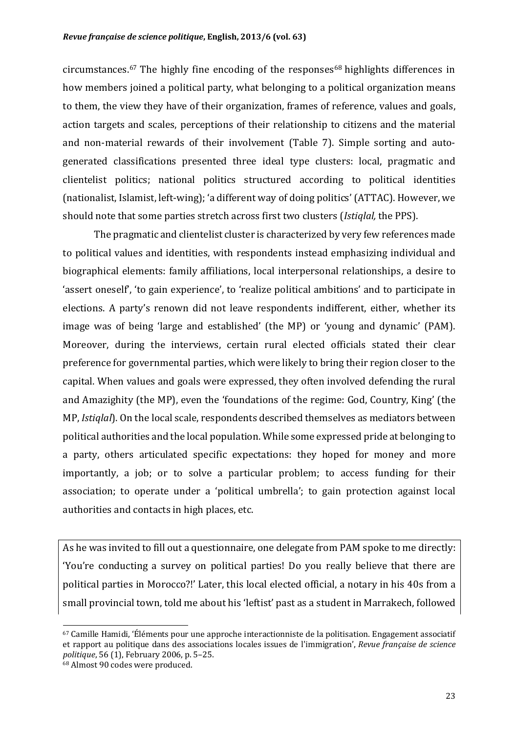circumstances.<sup>67</sup> The highly fine encoding of the responses<sup>68</sup> highlights differences in how members joined a political party, what belonging to a political organization means to them, the view they have of their organization, frames of reference, values and goals, action targets and scales, perceptions of their relationship to citizens and the material and non-material rewards of their involvement (Table 7). Simple sorting and autogenerated classifications presented three ideal type clusters: local, pragmatic and clientelist politics; national politics structured according to political identities (nationalist, Islamist, left-wing); 'a different way of doing politics' (ATTAC). However, we should note that some parties stretch across first two clusters (*Istiglal*, the PPS).

The pragmatic and clientelist cluster is characterized by very few references made to political values and identities, with respondents instead emphasizing individual and biographical elements: family affiliations, local interpersonal relationships, a desire to 'assert oneself', 'to gain experience', to 'realize political ambitions' and to participate in elections. A party's renown did not leave respondents indifferent, either, whether its image was of being 'large and established' (the MP) or 'young and dynamic' (PAM). Moreover, during the interviews, certain rural elected officials stated their clear preference for governmental parties, which were likely to bring their region closer to the capital. When values and goals were expressed, they often involved defending the rural and Amazighity (the MP), even the 'foundations of the regime: God, Country, King' (the MP, *Istiglal*). On the local scale, respondents described themselves as mediators between political authorities and the local population. While some expressed pride at belonging to a party, others articulated specific expectations: they hoped for money and more importantly, a job; or to solve a particular problem; to access funding for their association; to operate under a 'political umbrella'; to gain protection against local authorities and contacts in high places, etc.

As he was invited to fill out a questionnaire, one delegate from PAM spoke to me directly: 'You're conducting a survey on political parties! Do you really believe that there are political parties in Morocco?!' Later, this local elected official, a notary in his 40s from a small provincial town, told me about his 'leftist' past as a student in Marrakech, followed

 $67$  Camille Hamidi, 'Éléments pour une approche interactionniste de la politisation. Engagement associatif et rapport au politique dans des associations locales issues de l'immigration'. *Revue française de science politique*, 56 (1), February 2006, p. 5-25.

 $68$  Almost 90 codes were produced.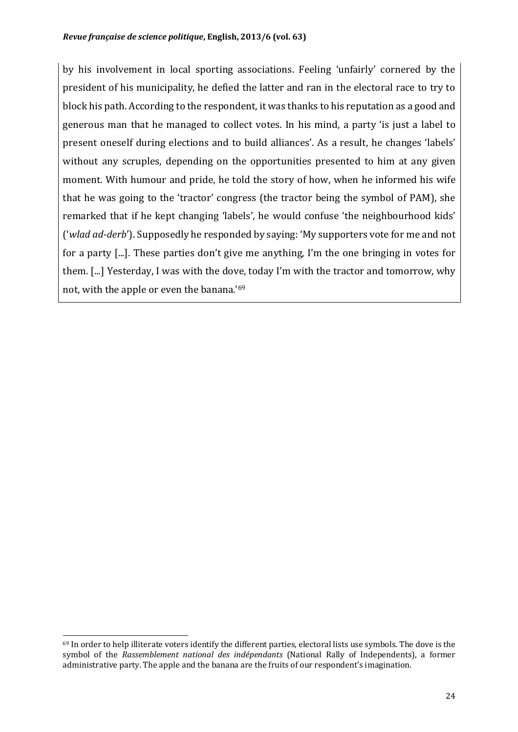by his involvement in local sporting associations. Feeling 'unfairly' cornered by the president of his municipality, he defied the latter and ran in the electoral race to try to block his path. According to the respondent, it was thanks to his reputation as a good and generous man that he managed to collect votes. In his mind, a party 'is just a label to present oneself during elections and to build alliances'. As a result, he changes 'labels' without any scruples, depending on the opportunities presented to him at any given moment. With humour and pride, he told the story of how, when he informed his wife that he was going to the 'tractor' congress (the tractor being the symbol of PAM), she remarked that if he kept changing 'labels', he would confuse 'the neighbourhood kids' ('wlad ad-derb'). Supposedly he responded by saying: 'My supporters vote for me and not for a party  $[...]$ . These parties don't give me anything, I'm the one bringing in votes for them. [...] Yesterday, I was with the dove, today I'm with the tractor and tomorrow, why not, with the apple or even the banana.'69

 $69$  In order to help illiterate voters identify the different parties, electoral lists use symbols. The dove is the symbol of the *Rassemblement national des indépendants* (National Rally of Independents), a former administrative party. The apple and the banana are the fruits of our respondent's imagination.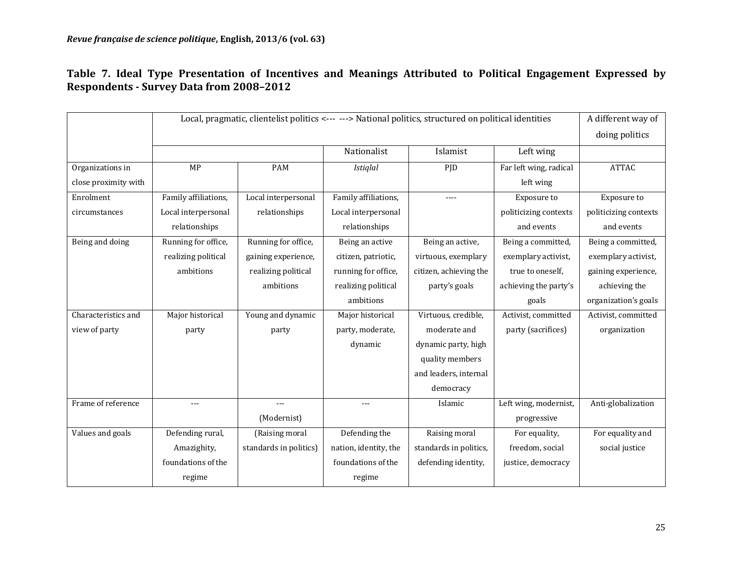Table 7. Ideal Type Presentation of Incentives and Meanings Attributed to Political Engagement Expressed by **Respondents - Survey Data from 2008–2012**

|                      |                      | Local, pragmatic, clientelist politics <--- ---> National politics, structured on political identities |                       |                        |                        | A different way of    |
|----------------------|----------------------|--------------------------------------------------------------------------------------------------------|-----------------------|------------------------|------------------------|-----------------------|
|                      |                      |                                                                                                        |                       |                        |                        | doing politics        |
|                      |                      |                                                                                                        | Nationalist           | Islamist               | Left wing              |                       |
| Organizations in     | MP                   | <b>PAM</b>                                                                                             | <b>Istiglal</b>       | PJD                    | Far left wing, radical | <b>ATTAC</b>          |
| close proximity with |                      |                                                                                                        |                       |                        | left wing              |                       |
| Enrolment            | Family affiliations, | Local interpersonal                                                                                    | Family affiliations,  | $---$                  | Exposure to            | Exposure to           |
| circumstances        | Local interpersonal  | relationships                                                                                          | Local interpersonal   |                        | politicizing contexts  | politicizing contexts |
|                      | relationships        |                                                                                                        | relationships         |                        | and events             | and events            |
| Being and doing      | Running for office,  | Running for office,                                                                                    | Being an active       | Being an active,       | Being a committed,     | Being a committed,    |
|                      | realizing political  | gaining experience,                                                                                    | citizen, patriotic,   | virtuous, exemplary    | exemplary activist,    | exemplary activist,   |
|                      | ambitions            | realizing political                                                                                    | running for office,   | citizen, achieving the | true to oneself,       | gaining experience,   |
|                      |                      | ambitions                                                                                              | realizing political   | party's goals          | achieving the party's  | achieving the         |
|                      |                      |                                                                                                        | ambitions             |                        | goals                  | organization's goals  |
| Characteristics and  | Major historical     | Young and dynamic                                                                                      | Major historical      | Virtuous, credible,    | Activist, committed    | Activist, committed   |
| view of party        | party                | party                                                                                                  | party, moderate,      | moderate and           | party (sacrifices)     | organization          |
|                      |                      |                                                                                                        | dynamic               | dynamic party, high    |                        |                       |
|                      |                      |                                                                                                        |                       | quality members        |                        |                       |
|                      |                      |                                                                                                        |                       | and leaders, internal  |                        |                       |
|                      |                      |                                                                                                        |                       | democracy              |                        |                       |
| Frame of reference   |                      | $---$                                                                                                  | ---                   | Islamic                | Left wing, modernist,  | Anti-globalization    |
|                      |                      | (Modernist)                                                                                            |                       |                        | progressive            |                       |
| Values and goals     | Defending rural,     | (Raising moral                                                                                         | Defending the         | Raising moral          | For equality,          | For equality and      |
|                      | Amazighity,          | standards in politics)                                                                                 | nation, identity, the | standards in politics, | freedom, social        | social justice        |
|                      | foundations of the   |                                                                                                        | foundations of the    | defending identity,    | justice, democracy     |                       |
|                      | regime               |                                                                                                        | regime                |                        |                        |                       |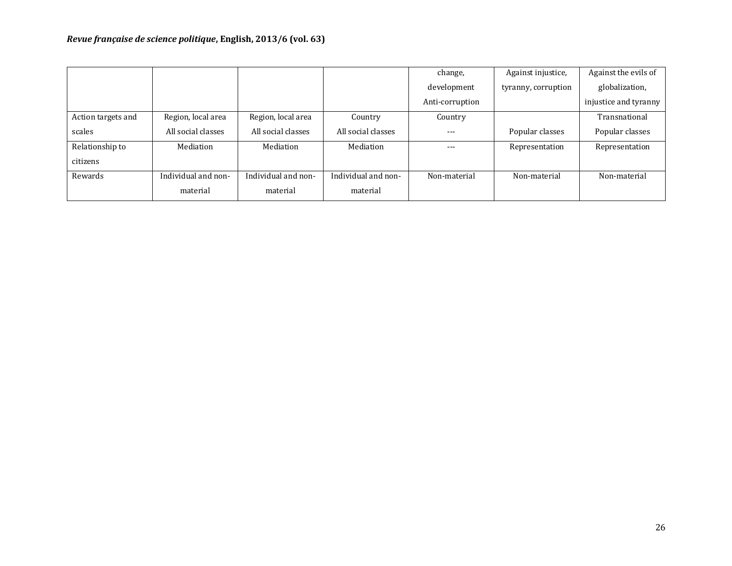|                    |                     |                     |                     | change,         | Against injustice,  | Against the evils of  |
|--------------------|---------------------|---------------------|---------------------|-----------------|---------------------|-----------------------|
|                    |                     |                     |                     | development     | tyranny, corruption | globalization,        |
|                    |                     |                     |                     | Anti-corruption |                     | injustice and tyranny |
| Action targets and | Region, local area  | Region, local area  | Country             | Country         |                     | Transnational         |
| scales             | All social classes  | All social classes  | All social classes  | $---$           | Popular classes     | Popular classes       |
| Relationship to    | Mediation           | Mediation           | Mediation           | ---             | Representation      | Representation        |
| citizens           |                     |                     |                     |                 |                     |                       |
| Rewards            | Individual and non- | Individual and non- | Individual and non- | Non-material    | Non-material        | Non-material          |
|                    | material            | material            | material            |                 |                     |                       |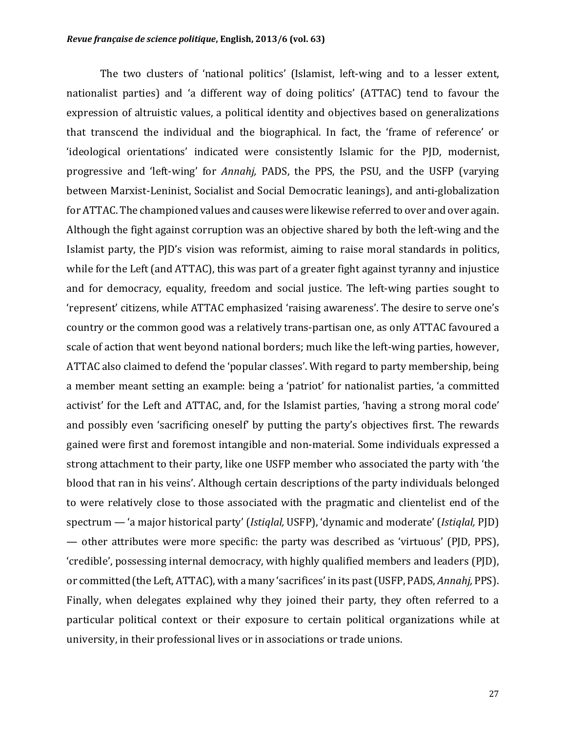The two clusters of 'national politics' (Islamist, left-wing and to a lesser extent, nationalist parties) and 'a different way of doing politics' (ATTAC) tend to favour the expression of altruistic values, a political identity and objectives based on generalizations that transcend the individual and the biographical. In fact, the 'frame of reference' or 'ideological orientations' indicated were consistently Islamic for the PJD, modernist, progressive and 'left-wing' for *Annahj*, PADS, the PPS, the PSU, and the USFP (varying between Marxist-Leninist, Socialist and Social Democratic leanings), and anti-globalization for ATTAC. The championed values and causes were likewise referred to over and over again. Although the fight against corruption was an objective shared by both the left-wing and the Islamist party, the PJD's vision was reformist, aiming to raise moral standards in politics, while for the Left (and ATTAC), this was part of a greater fight against tyranny and injustice and for democracy, equality, freedom and social justice. The left-wing parties sought to 'represent' citizens, while ATTAC emphasized 'raising awareness'. The desire to serve one's country or the common good was a relatively trans-partisan one, as only ATTAC favoured a scale of action that went beyond national borders; much like the left-wing parties, however, ATTAC also claimed to defend the 'popular classes'. With regard to party membership, being a member meant setting an example: being a 'patriot' for nationalist parties, 'a committed activist' for the Left and ATTAC, and, for the Islamist parties, 'having a strong moral code' and possibly even 'sacrificing oneself' by putting the party's objectives first. The rewards gained were first and foremost intangible and non-material. Some individuals expressed a strong attachment to their party, like one USFP member who associated the party with 'the blood that ran in his veins'. Although certain descriptions of the party individuals belonged to were relatively close to those associated with the pragmatic and clientelist end of the spectrum — 'a major historical party' (*Istiglal*, USFP), 'dynamic and moderate' (*Istiglal*, PJD) — other attributes were more specific: the party was described as 'virtuous' (PJD, PPS), 'credible', possessing internal democracy, with highly qualified members and leaders (PJD), or committed (the Left, ATTAC), with a many 'sacrifices' in its past (USFP, PADS, *Annahi*, PPS). Finally, when delegates explained why they joined their party, they often referred to a particular political context or their exposure to certain political organizations while at university, in their professional lives or in associations or trade unions.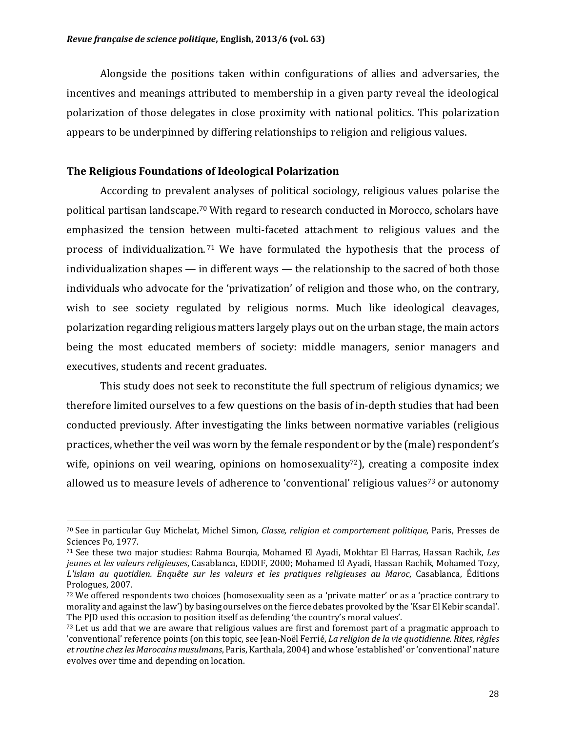Alongside the positions taken within configurations of allies and adversaries, the incentives and meanings attributed to membership in a given party reveal the ideological polarization of those delegates in close proximity with national politics. This polarization appears to be underpinned by differing relationships to religion and religious values.

#### **The Religious Foundations of Ideological Polarization**

 

According to prevalent analyses of political sociology, religious values polarise the political partisan landscape.<sup>70</sup> With regard to research conducted in Morocco, scholars have emphasized the tension between multi-faceted attachment to religious values and the process of individualization.<sup>71</sup> We have formulated the hypothesis that the process of individualization shapes  $-$  in different ways  $-$  the relationship to the sacred of both those individuals who advocate for the 'privatization' of religion and those who, on the contrary, wish to see society regulated by religious norms. Much like ideological cleavages, polarization regarding religious matters largely plays out on the urban stage, the main actors being the most educated members of society: middle managers, senior managers and executives, students and recent graduates.

This study does not seek to reconstitute the full spectrum of religious dynamics; we therefore limited ourselves to a few questions on the basis of in-depth studies that had been conducted previously. After investigating the links between normative variables (religious practices, whether the veil was worn by the female respondent or by the (male) respondent's wife, opinions on veil wearing, opinions on homosexuality<sup>72</sup>), creating a composite index allowed us to measure levels of adherence to 'conventional' religious values<sup>73</sup> or autonomy

<sup>70</sup> See in particular Guy Michelat, Michel Simon, *Classe, religion et comportement politique*, Paris, Presses de Sciences Po, 1977.

<sup>&</sup>lt;sup>71</sup> See these two major studies: Rahma Bourqia, Mohamed El Ayadi, Mokhtar El Harras, Hassan Rachik, *Les jeunes et les valeurs religieuses*, Casablanca, EDDIF, 2000; Mohamed El Ayadi, Hassan Rachik, Mohamed Tozy, *L'islam au quotidien. Enquête sur les valeurs et les pratiques religieuses au Maroc*, Casablanca, Éditions Prologues, 2007.

<sup>72</sup> We offered respondents two choices (homosexuality seen as a 'private matter' or as a 'practice contrary to morality and against the law') by basing ourselves on the fierce debates provoked by the 'Ksar El Kebir scandal'. The PJD used this occasion to position itself as defending 'the country's moral values'.

<sup>73</sup> Let us add that we are aware that religious values are first and foremost part of a pragmatic approach to 'conventional' reference points (on this topic, see Jean-Noël Ferrié, *La religion de la vie quotidienne. Rites*, *règles et routine chez les Marocains musulmans*, Paris, Karthala, 2004) and whose 'established' or 'conventional' nature evolves over time and depending on location.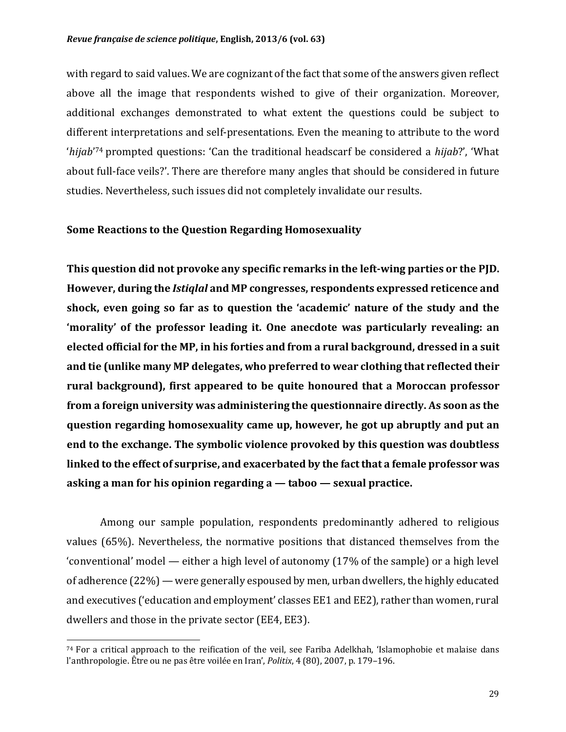with regard to said values. We are cognizant of the fact that some of the answers given reflect above all the image that respondents wished to give of their organization. Moreover, additional exchanges demonstrated to what extent the questions could be subject to different interpretations and self-presentations. Even the meaning to attribute to the word '*hijab*'<sup>74</sup> prompted questions: 'Can the traditional headscarf be considered a *hijab*?', 'What about full-face veils?'. There are therefore many angles that should be considered in future studies. Nevertheless, such issues did not completely invalidate our results.

#### **Some Reactions to the Question Regarding Homosexuality**

This question did not provoke any specific remarks in the left-wing parties or the PJD. However, during the *Istiqlal* and MP congresses, respondents expressed reticence and shock, even going so far as to question the 'academic' nature of the study and the **'morality'** of the professor leading it. One anecdote was particularly revealing: an elected official for the MP, in his forties and from a rural background, dressed in a suit and tie (unlike many MP delegates, who preferred to wear clothing that reflected their rural background), first appeared to be quite honoured that a Moroccan professor **from a foreign university was administering the questionnaire directly. As soon as the question regarding homosexuality came up, however, he got up abruptly and put an end to the exchange. The symbolic violence provoked by this question was doubtless** linked to the effect of surprise, and exacerbated by the fact that a female professor was **asking a man for his opinion regarding a — taboo — sexual practice.** 

Among our sample population, respondents predominantly adhered to religious values  $(65%)$ . Nevertheless, the normative positions that distanced themselves from the 'conventional' model — either a high level of autonomy  $(17\%$  of the sample) or a high level of adherence  $(22%)$  — were generally espoused by men, urban dwellers, the highly educated and executives ('education and employment' classes EE1 and EE2), rather than women, rural dwellers and those in the private sector (EE4, EE3).

 $74$  For a critical approach to the reification of the veil, see Fariba Adelkhah, 'Islamophobie et malaise dans l'anthropologie. Être ou ne pas être voilée en Iran', *Politix*, 4 (80), 2007, p. 179-196.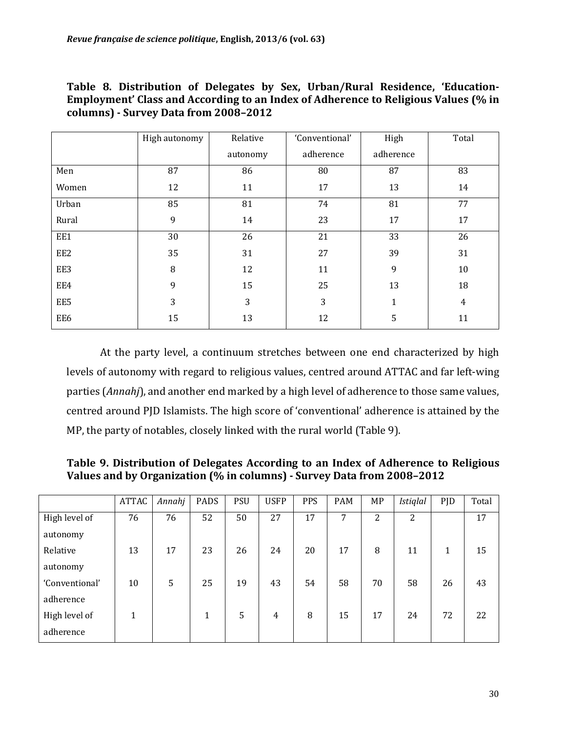|  | Table 8. Distribution of Delegates by Sex, Urban/Rural Residence, 'Education-      |  |  |  |
|--|------------------------------------------------------------------------------------|--|--|--|
|  | Employment' Class and According to an Index of Adherence to Religious Values (% in |  |  |  |
|  | columns) - Survey Data from 2008-2012                                              |  |  |  |

|       | High autonomy | Relative | 'Conventional' | High      | Total |
|-------|---------------|----------|----------------|-----------|-------|
|       |               | autonomy | adherence      | adherence |       |
| Men   | 87            | 86       | 80             | 87        | 83    |
| Women | 12            | 11       | 17             | 13        | 14    |
| Urban | 85            | 81       | 74             | 81        | 77    |
| Rural | 9             | 14       | 23             | 17        | 17    |
| EE1   | 30            | 26       | 21             | 33        | 26    |
| EE2   | 35            | 31       | 27             | 39        | 31    |
| EE3   | 8             | 12       | 11             | 9         | 10    |
| EE4   | 9             | 15       | 25             | 13        | 18    |
| EE5   | 3             | 3        | 3              | 1         | 4     |
| EE6   | 15            | 13       | 12             | 5         | 11    |

At the party level, a continuum stretches between one end characterized by high levels of autonomy with regard to religious values, centred around ATTAC and far left-wing parties (*Annahj*), and another end marked by a high level of adherence to those same values, centred around PJD Islamists. The high score of 'conventional' adherence is attained by the MP, the party of notables, closely linked with the rural world (Table 9).

Table 9. Distribution of Delegates According to an Index of Adherence to Religious **Values and by Organization (% in columns) - Survey Data from 2008-2012** 

|                | ATTAC        | Annahj | PADS         | <b>PSU</b> | <b>USFP</b> | PPS | <b>PAM</b> | MP | <b>Istiglal</b> | <b>PJD</b> | Total |
|----------------|--------------|--------|--------------|------------|-------------|-----|------------|----|-----------------|------------|-------|
| High level of  | 76           | 76     | 52           | 50         | 27          | 17  | 7          | 2  | 2               |            | 17    |
| autonomy       |              |        |              |            |             |     |            |    |                 |            |       |
| Relative       | 13           | 17     | 23           | 26         | 24          | 20  | 17         | 8  | 11              | 1          | 15    |
| autonomy       |              |        |              |            |             |     |            |    |                 |            |       |
| 'Conventional' | 10           | 5      | 25           | 19         | 43          | 54  | 58         | 70 | 58              | 26         | 43    |
| adherence      |              |        |              |            |             |     |            |    |                 |            |       |
| High level of  | $\mathbf{1}$ |        | $\mathbf{1}$ | 5          | 4           | 8   | 15         | 17 | 24              | 72         | 22    |
| adherence      |              |        |              |            |             |     |            |    |                 |            |       |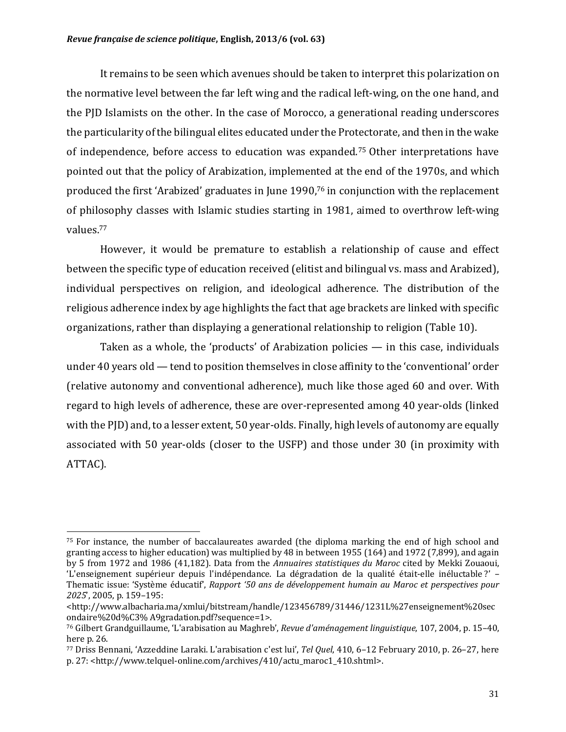It remains to be seen which avenues should be taken to interpret this polarization on the normative level between the far left wing and the radical left-wing, on the one hand, and the PJD Islamists on the other. In the case of Morocco, a generational reading underscores the particularity of the bilingual elites educated under the Protectorate, and then in the wake of independence, before access to education was expanded.<sup>75</sup> Other interpretations have pointed out that the policy of Arabization, implemented at the end of the 1970s, and which produced the first 'Arabized' graduates in June 1990,<sup>76</sup> in conjunction with the replacement of philosophy classes with Islamic studies starting in 1981, aimed to overthrow left-wing values.77

However, it would be premature to establish a relationship of cause and effect between the specific type of education received (elitist and bilingual vs. mass and Arabized), individual perspectives on religion, and ideological adherence. The distribution of the religious adherence index by age highlights the fact that age brackets are linked with specific organizations, rather than displaying a generational relationship to religion (Table 10).

Taken as a whole, the 'products' of Arabization policies  $-$  in this case, individuals under 40 years old  $-$  tend to position themselves in close affinity to the 'conventional' order (relative autonomy and conventional adherence), much like those aged 60 and over. With regard to high levels of adherence, these are over-represented among 40 year-olds (linked with the  $P(D)$  and, to a lesser extent,  $50$  year-olds. Finally, high levels of autonomy are equally associated with 50 year-olds (closer to the USFP) and those under 30 (in proximity with ATTAC).

 $75$  For instance, the number of baccalaureates awarded (the diploma marking the end of high school and granting access to higher education) was multiplied by 48 in between 1955 (164) and 1972 (7,899), and again by 5 from 1972 and 1986 (41,182). Data from the *Annuaires statistiques du Maroc* cited by Mekki Zouaoui, 'L'enseignement supérieur depuis l'indépendance. La dégradation de la qualité était-elle inéluctable?' – Thematic issue: 'Système éducatif', *Rapport '50* ans de développement humain au Maroc et perspectives pour 2025', 2005, p. 159-195:

<sup>&</sup>lt;http://www.albacharia.ma/xmlui/bitstream/handle/123456789/31446/1231L%27enseignement%20sec ondaire%20d%C3% A9gradation.pdf?sequence=1>.

<sup>&</sup>lt;sup>76</sup> Gilbert Grandguillaume, 'L'arabisation au Maghreb', *Revue d'aménagement linguistique*, 107, 2004, p. 15–40, here  $p. 26$ .

<sup>77</sup> Driss Bennani, 'Azzeddine Laraki. L'arabisation c'est lui', *Tel Quel*, 410, 6–12 February 2010, p. 26–27, here p. 27: <http://www.telquel-online.com/archives/410/actu\_maroc1\_410.shtml>.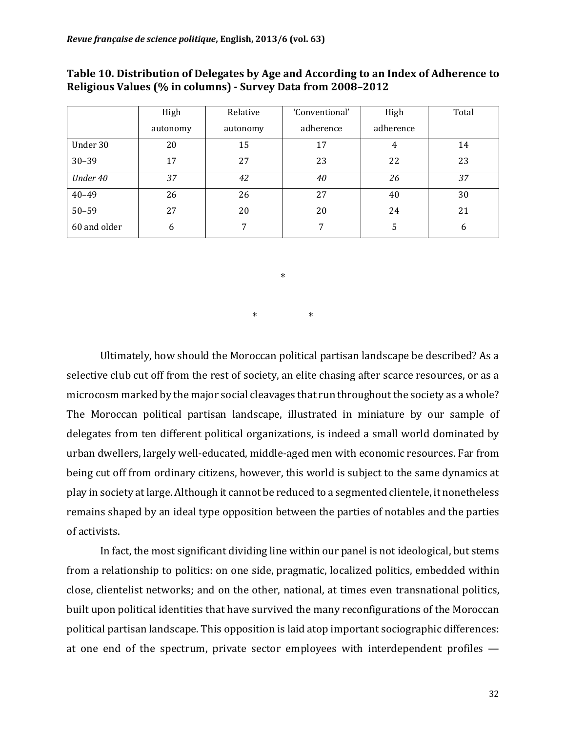|              | High     | Relative | 'Conventional' | High      | Total |
|--------------|----------|----------|----------------|-----------|-------|
|              | autonomy | autonomy | adherence      | adherence |       |
| Under 30     | 20       | 15       | 17             | 4         | 14    |
| $30 - 39$    | 17       | 27       | 23             | 22        | 23    |
| Under 40     | 37       | 42       | 40             | 26        | 37    |
| $40 - 49$    | 26       | 26       | 27             | 40        | 30    |
| $50 - 59$    | 27       | 20       | 20             | 24        | 21    |
| 60 and older | 6        | 7        | 7              | 5         | 6     |

#### Table 10. Distribution of Delegates by Age and According to an Index of Adherence to **Religious Values (% in columns) - Survey Data from 2008–2012**

\*  $*$   $*$ 

Ultimately, how should the Moroccan political partisan landscape be described? As a selective club cut off from the rest of society, an elite chasing after scarce resources, or as a microcosm marked by the major social cleavages that run throughout the society as a whole? The Moroccan political partisan landscape, illustrated in miniature by our sample of delegates from ten different political organizations, is indeed a small world dominated by urban dwellers, largely well-educated, middle-aged men with economic resources. Far from being cut off from ordinary citizens, however, this world is subject to the same dynamics at play in society at large. Although it cannot be reduced to a segmented clientele, it nonetheless remains shaped by an ideal type opposition between the parties of notables and the parties of activists.

In fact, the most significant dividing line within our panel is not ideological, but stems from a relationship to politics: on one side, pragmatic, localized politics, embedded within close, clientelist networks; and on the other, national, at times even transnational politics, built upon political identities that have survived the many reconfigurations of the Moroccan political partisan landscape. This opposition is laid atop important sociographic differences: at one end of the spectrum, private sector employees with interdependent profiles  $-$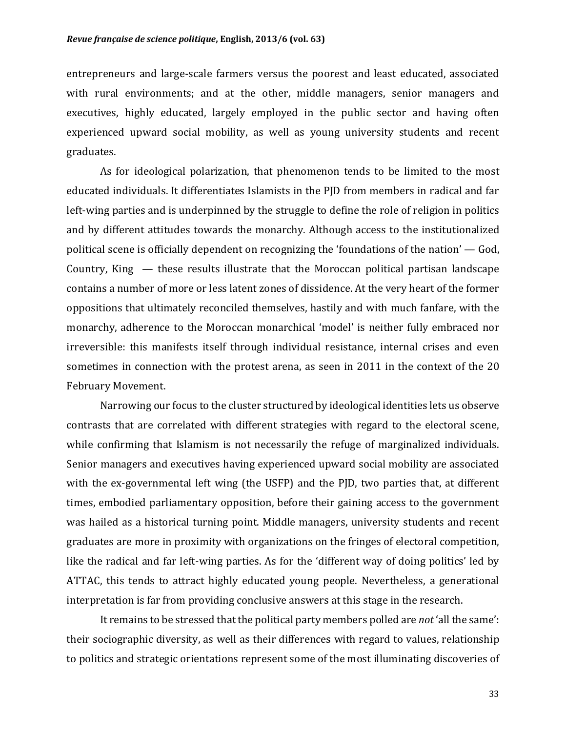entrepreneurs and large-scale farmers versus the poorest and least educated, associated with rural environments; and at the other, middle managers, senior managers and executives, highly educated, largely employed in the public sector and having often experienced upward social mobility, as well as young university students and recent graduates. 

As for ideological polarization, that phenomenon tends to be limited to the most educated individuals. It differentiates Islamists in the PJD from members in radical and far left-wing parties and is underpinned by the struggle to define the role of religion in politics and by different attitudes towards the monarchy. Although access to the institutionalized political scene is officially dependent on recognizing the 'foundations of the nation'  $-$  God, Country, King  $-$  these results illustrate that the Moroccan political partisan landscape contains a number of more or less latent zones of dissidence. At the very heart of the former oppositions that ultimately reconciled themselves, hastily and with much fanfare, with the monarchy, adherence to the Moroccan monarchical 'model' is neither fully embraced nor irreversible: this manifests itself through individual resistance, internal crises and even sometimes in connection with the protest arena, as seen in 2011 in the context of the  $20$ February Movement.

Narrowing our focus to the cluster structured by ideological identities lets us observe contrasts that are correlated with different strategies with regard to the electoral scene, while confirming that Islamism is not necessarily the refuge of marginalized individuals. Senior managers and executives having experienced upward social mobility are associated with the ex-governmental left wing (the USFP) and the PJD, two parties that, at different times, embodied parliamentary opposition, before their gaining access to the government was hailed as a historical turning point. Middle managers, university students and recent graduates are more in proximity with organizations on the fringes of electoral competition, like the radical and far left-wing parties. As for the 'different way of doing politics' led by ATTAC, this tends to attract highly educated young people. Nevertheless, a generational interpretation is far from providing conclusive answers at this stage in the research.

It remains to be stressed that the political party members polled are *not* 'all the same': their sociographic diversity, as well as their differences with regard to values, relationship to politics and strategic orientations represent some of the most illuminating discoveries of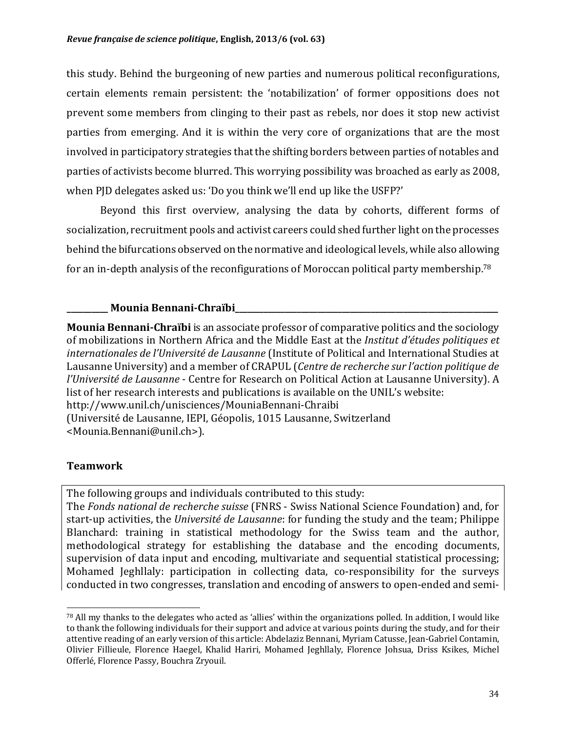this study. Behind the burgeoning of new parties and numerous political reconfigurations, certain elements remain persistent: the 'notabilization' of former oppositions does not prevent some members from clinging to their past as rebels, nor does it stop new activist parties from emerging. And it is within the very core of organizations that are the most involved in participatory strategies that the shifting borders between parties of notables and parties of activists become blurred. This worrying possibility was broached as early as 2008, when PJD delegates asked us: 'Do you think we'll end up like the USFP?'

Beyond this first overview, analysing the data by cohorts, different forms of socialization, recruitment pools and activist careers could shed further light on the processes behind the bifurcations observed on the normative and ideological levels, while also allowing for an in-depth analysis of the reconfigurations of Moroccan political party membership.<sup>78</sup>

#### **Mounia Bennani-Chraïbi**

**Mounia Bennani-Chraïbi** is an associate professor of comparative politics and the sociology of mobilizations in Northern Africa and the Middle East at the *Institut d'études politiques et internationales de l'Université de Lausanne* (Institute of Political and International Studies at Lausanne University) and a member of CRAPUL (*Centre de recherche sur l'action politique de l'Université de Lausanne* - Centre for Research on Political Action at Lausanne University). A list of her research interests and publications is available on the UNIL's website: http://www.unil.ch/unisciences/MouniaBennani-Chraibi (Université de Lausanne, IEPI, Géopolis, 1015 Lausanne, Switzerland <Mounia.Bennani@unil.ch>). 

#### **Teamwork**

 

The following groups and individuals contributed to this study:

The *Fonds national de recherche suisse* (FNRS - Swiss National Science Foundation) and, for start-up activities, the *Université de Lausanne*: for funding the study and the team; Philippe Blanchard: training in statistical methodology for the Swiss team and the author, methodological strategy for establishing the database and the encoding documents, supervision of data input and encoding, multivariate and sequential statistical processing; Mohamed Jeghllaly: participation in collecting data, co-responsibility for the surveys conducted in two congresses, translation and encoding of answers to open-ended and semi-

 $78$  All my thanks to the delegates who acted as 'allies' within the organizations polled. In addition, I would like to thank the following individuals for their support and advice at various points during the study, and for their attentive reading of an early version of this article: Abdelaziz Bennani, Myriam Catusse, Jean-Gabriel Contamin, Olivier Fillieule, Florence Haegel, Khalid Hariri, Mohamed Jeghllaly, Florence Johsua, Driss Ksikes, Michel Offerlé, Florence Passy, Bouchra Zryouil.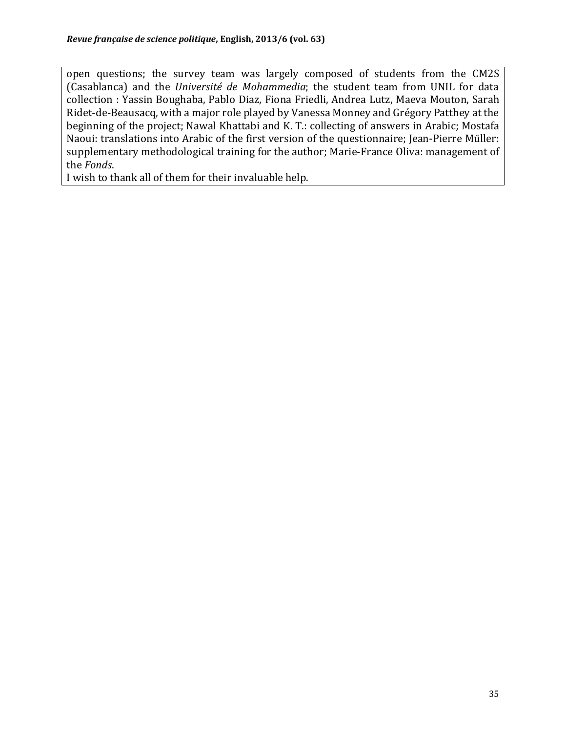open questions; the survey team was largely composed of students from the CM2S (Casablanca) and the *Université de Mohammedia*; the student team from UNIL for data collection : Yassin Boughaba, Pablo Diaz, Fiona Friedli, Andrea Lutz, Maeva Mouton, Sarah Ridet-de-Beausacq, with a major role played by Vanessa Monney and Grégory Patthey at the beginning of the project; Nawal Khattabi and K. T.: collecting of answers in Arabic; Mostafa Naoui: translations into Arabic of the first version of the questionnaire; Jean-Pierre Müller: supplementary methodological training for the author; Marie-France Oliva: management of the *Fonds*.

I wish to thank all of them for their invaluable help.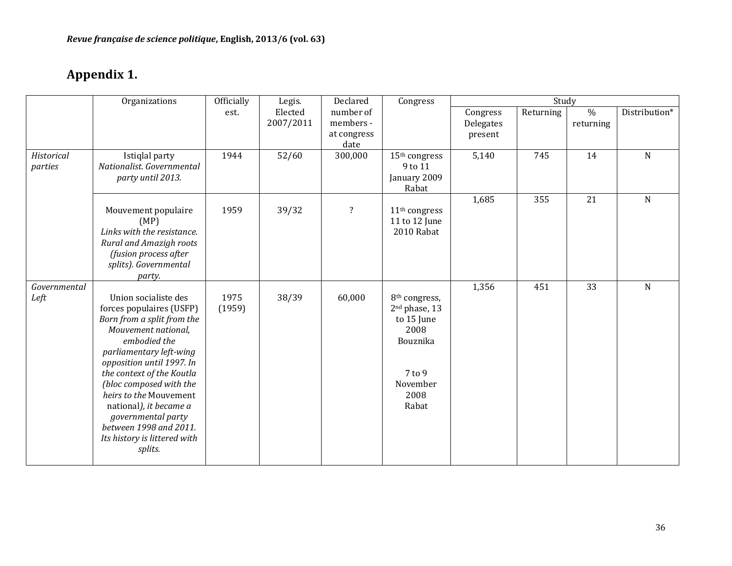# Appendix 1.

|              | Organizations                                | Officially | Legis.    | Declared                | Congress                             | Study     |           |               |               |
|--------------|----------------------------------------------|------------|-----------|-------------------------|--------------------------------------|-----------|-----------|---------------|---------------|
|              |                                              | est.       | Elected   | number of               |                                      | Congress  | Returning | $\frac{0}{0}$ | Distribution* |
|              |                                              |            | 2007/2011 | members -               |                                      | Delegates |           | returning     |               |
|              |                                              |            |           | at congress             |                                      | present   |           |               |               |
| Historical   |                                              |            |           | date                    |                                      |           |           |               |               |
| parties      | Istiqlal party<br>Nationalist. Governmental  | 1944       | 52/60     | 300,000                 | 15 <sup>th</sup> congress<br>9 to 11 | 5,140     | 745       | 14            | $\mathbf N$   |
|              | party until 2013.                            |            |           |                         | January 2009                         |           |           |               |               |
|              |                                              |            |           |                         | Rabat                                |           |           |               |               |
|              |                                              |            |           |                         |                                      | 1,685     | 355       | 21            | $\mathbf N$   |
|              | Mouvement populaire                          | 1959       | 39/32     | $\overline{\mathbf{?}}$ | 11 <sup>th</sup> congress            |           |           |               |               |
|              | (MP)                                         |            |           |                         | 11 to 12 June                        |           |           |               |               |
|              | Links with the resistance.                   |            |           |                         | 2010 Rabat                           |           |           |               |               |
|              | Rural and Amazigh roots                      |            |           |                         |                                      |           |           |               |               |
|              | (fusion process after                        |            |           |                         |                                      |           |           |               |               |
|              | splits). Governmental                        |            |           |                         |                                      |           |           |               |               |
| Governmental | party.                                       |            |           |                         |                                      | 1,356     | 451       | 33            | ${\bf N}$     |
| Left         | Union socialiste des                         | 1975       | 38/39     | 60,000                  | 8 <sup>th</sup> congress,            |           |           |               |               |
|              | forces populaires (USFP)                     | (1959)     |           |                         | 2 <sup>nd</sup> phase, 13            |           |           |               |               |
|              | Born from a split from the                   |            |           |                         | to 15 June                           |           |           |               |               |
|              | Mouvement national,                          |            |           |                         | 2008                                 |           |           |               |               |
|              | embodied the                                 |            |           |                         | Bouznika                             |           |           |               |               |
|              | parliamentary left-wing                      |            |           |                         |                                      |           |           |               |               |
|              | opposition until 1997. In                    |            |           |                         |                                      |           |           |               |               |
|              | the context of the Koutla                    |            |           |                         | 7 to 9                               |           |           |               |               |
|              | (bloc composed with the                      |            |           |                         | November                             |           |           |               |               |
|              | heirs to the Mouvement                       |            |           |                         | 2008                                 |           |           |               |               |
|              | national), it became a<br>governmental party |            |           |                         | Rabat                                |           |           |               |               |
|              | between 1998 and 2011.                       |            |           |                         |                                      |           |           |               |               |
|              | Its history is littered with                 |            |           |                         |                                      |           |           |               |               |
|              | splits.                                      |            |           |                         |                                      |           |           |               |               |
|              |                                              |            |           |                         |                                      |           |           |               |               |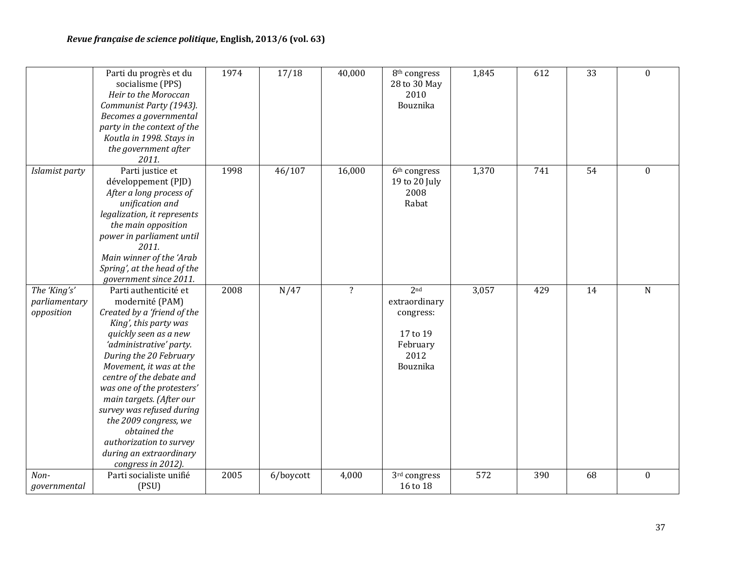|                                             | Parti du progrès et du<br>socialisme (PPS)<br>Heir to the Moroccan<br>Communist Party (1943).<br>Becomes a governmental<br>party in the context of the<br>Koutla in 1998. Stays in<br>the government after<br>2011.                                                                                                                                                                                                                               | 1974 | 17/18     | 40,000                  | 8 <sup>th</sup> congress<br>28 to 30 May<br>2010<br>Bouznika                              | 1,845 | 612 | 33 | $\boldsymbol{0}$ |
|---------------------------------------------|---------------------------------------------------------------------------------------------------------------------------------------------------------------------------------------------------------------------------------------------------------------------------------------------------------------------------------------------------------------------------------------------------------------------------------------------------|------|-----------|-------------------------|-------------------------------------------------------------------------------------------|-------|-----|----|------------------|
| Islamist party                              | Parti justice et<br>développement (PJD)<br>After a long process of<br>unification and<br>legalization, it represents<br>the main opposition<br>power in parliament until<br>2011.<br>Main winner of the 'Arab<br>Spring', at the head of the<br>government since 2011.                                                                                                                                                                            | 1998 | 46/107    | 16,000                  | 6 <sup>th</sup> congress<br>19 to 20 July<br>2008<br>Rabat                                | 1,370 | 741 | 54 | $\boldsymbol{0}$ |
| The 'King's'<br>parliamentary<br>opposition | Parti authenticité et<br>modernité (PAM)<br>Created by a 'friend of the<br>King', this party was<br>quickly seen as a new<br>'administrative' party.<br>During the 20 February<br>Movement, it was at the<br>centre of the debate and<br>was one of the protesters'<br>main targets. (After our<br>survey was refused during<br>the 2009 congress, we<br>obtained the<br>authorization to survey<br>during an extraordinary<br>congress in 2012). | 2008 | N/47      | $\overline{\mathbf{?}}$ | 2 <sup>nd</sup><br>extraordinary<br>congress:<br>17 to 19<br>February<br>2012<br>Bouznika | 3,057 | 429 | 14 | ${\bf N}$        |
| Non-<br>governmental                        | Parti socialiste unifié<br>(PSU)                                                                                                                                                                                                                                                                                                                                                                                                                  | 2005 | 6/boycott | 4,000                   | 3rd congress<br>16 to 18                                                                  | 572   | 390 | 68 | $\boldsymbol{0}$ |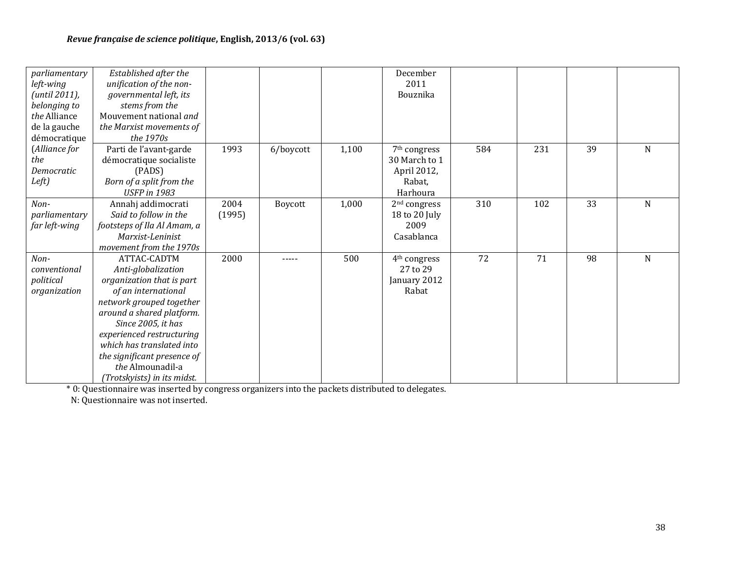| parliamentary | Established after the       |        |           |       | December                 |     |     |    |   |
|---------------|-----------------------------|--------|-----------|-------|--------------------------|-----|-----|----|---|
| left-wing     | unification of the non-     |        |           |       | 2011                     |     |     |    |   |
| (until 2011), | governmental left, its      |        |           |       | Bouznika                 |     |     |    |   |
| belonging to  | stems from the              |        |           |       |                          |     |     |    |   |
| the Alliance  | Mouvement national and      |        |           |       |                          |     |     |    |   |
| de la gauche  | the Marxist movements of    |        |           |       |                          |     |     |    |   |
| démocratique  | the 1970s                   |        |           |       |                          |     |     |    |   |
| (Alliance for | Parti de l'avant-garde      | 1993   | 6/boycott | 1,100 | 7 <sup>th</sup> congress | 584 | 231 | 39 | N |
| the           | démocratique socialiste     |        |           |       | 30 March to 1            |     |     |    |   |
| Democratic    | (PADS)                      |        |           |       | April 2012,              |     |     |    |   |
| Left)         | Born of a split from the    |        |           |       | Rabat,                   |     |     |    |   |
|               | <b>USFP</b> in 1983         |        |           |       | Harhoura                 |     |     |    |   |
| Non-          | Annahj addimocrati          | 2004   | Boycott   | 1,000 | 2 <sup>nd</sup> congress | 310 | 102 | 33 | N |
| parliamentary | Said to follow in the       | (1995) |           |       | 18 to 20 July            |     |     |    |   |
| far left-wing | footsteps of Ila Al Amam, a |        |           |       | 2009                     |     |     |    |   |
|               | Marxist-Leninist            |        |           |       | Casablanca               |     |     |    |   |
|               | movement from the 1970s     |        |           |       |                          |     |     |    |   |
| Non-          | ATTAC-CADTM                 | 2000   |           | 500   | 4 <sup>th</sup> congress | 72  | 71  | 98 | N |
| conventional  | Anti-globalization          |        |           |       | 27 to 29                 |     |     |    |   |
| political     | organization that is part   |        |           |       | January 2012             |     |     |    |   |
| organization  | of an international         |        |           |       | Rabat                    |     |     |    |   |
|               | network grouped together    |        |           |       |                          |     |     |    |   |
|               | around a shared platform.   |        |           |       |                          |     |     |    |   |
|               | Since 2005, it has          |        |           |       |                          |     |     |    |   |
|               | experienced restructuring   |        |           |       |                          |     |     |    |   |
|               | which has translated into   |        |           |       |                          |     |     |    |   |
|               | the significant presence of |        |           |       |                          |     |     |    |   |
|               | the Almounadil-a            |        |           |       |                          |     |     |    |   |
|               | (Trotskyists) in its midst. |        |           |       |                          |     |     |    |   |

\* 0: Questionnaire was inserted by congress organizers into the packets distributed to delegates.

N: Questionnaire was not inserted.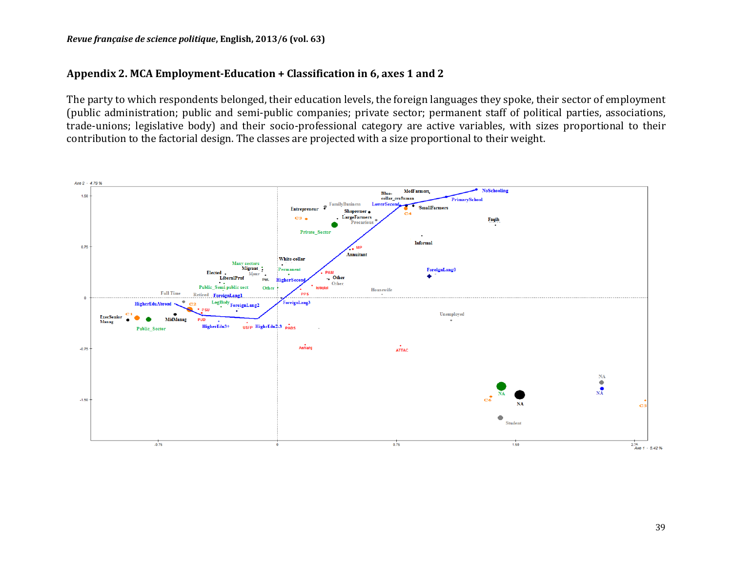#### Appendix 2. MCA Employment-Education + Classification in 6, axes 1 and 2

The party to which respondents belonged, their education levels, the foreign languages they spoke, their sector of employment (public administration; public and semi-public companies; private sector; permanent staff of political parties, associations, trade-unions; legislative body) and their socio-professional category are active variables, with sizes proportional to their contribution to the factorial design. The classes are projected with a size proportional to their weight.

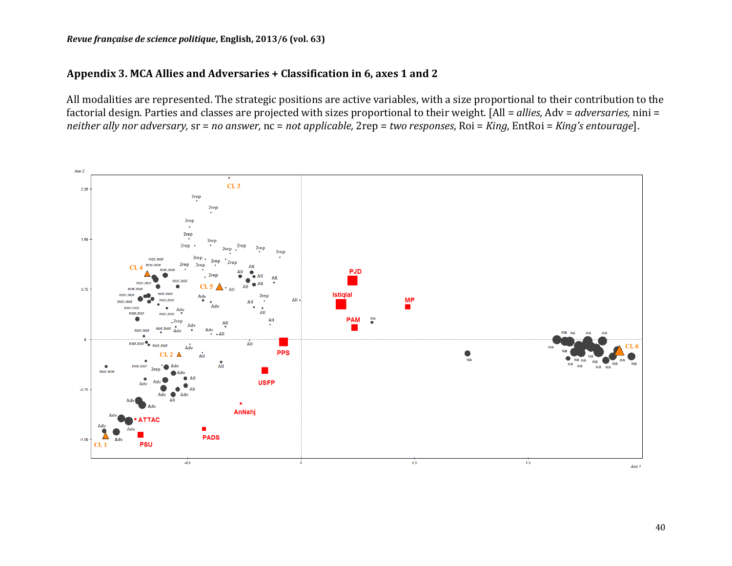#### Appendix 3. MCA Allies and Adversaries + Classification in 6, axes 1 and 2

All modalities are represented. The strategic positions are active variables, with a size proportional to their contribution to the factorial design. Parties and classes are projected with sizes proportional to their weight. [All = allies, Adv = adversaries, nini = *neither ally nor adversary,*  $sr = no$  answer,  $nc = not$  applicable,  $2rep = two$  responses,  $Roi = King$ ,  $EntRoi = King's$  entourage].